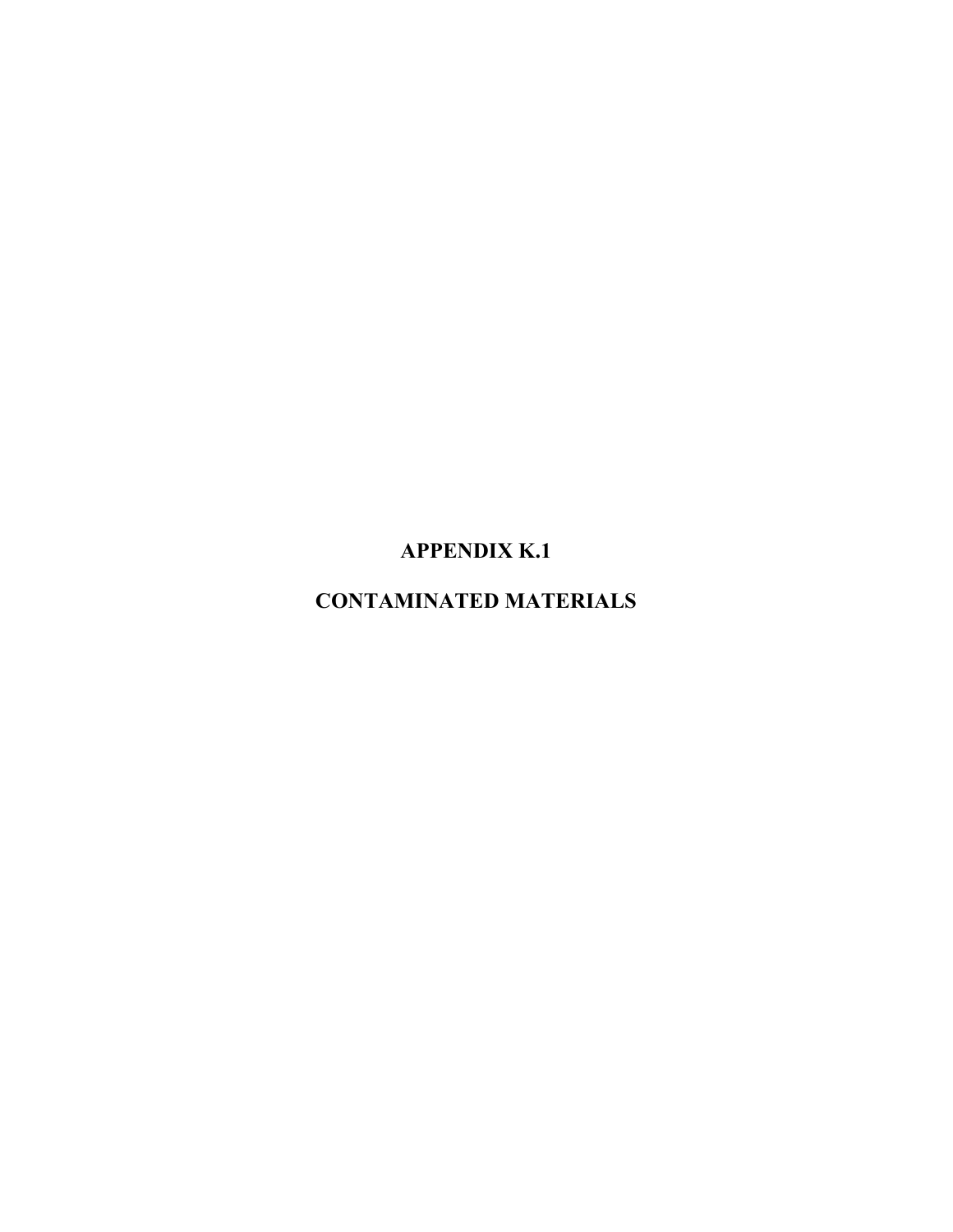**APPENDIX K.1** 

**CONTAMINATED MATERIALS**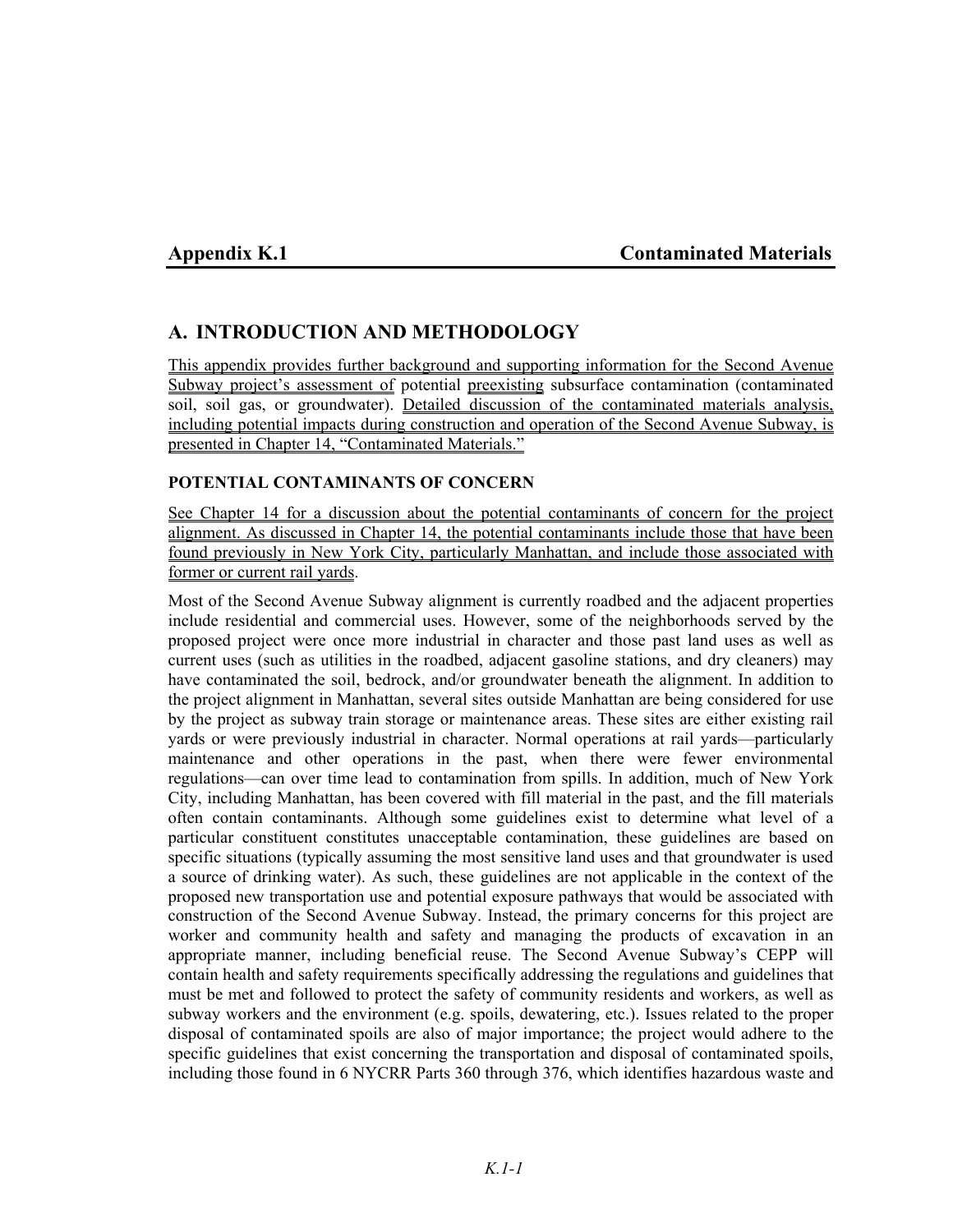# Appendix K.1 **Contaminated Materials**

# **A. INTRODUCTION AND METHODOLOGY**

This appendix provides further background and supporting information for the Second Avenue Subway project's assessment of potential preexisting subsurface contamination (contaminated soil, soil gas, or groundwater). Detailed discussion of the contaminated materials analysis, including potential impacts during construction and operation of the Second Avenue Subway, is presented in Chapter 14, "Contaminated Materials."

## **POTENTIAL CONTAMINANTS OF CONCERN**

See Chapter 14 for a discussion about the potential contaminants of concern for the project alignment. As discussed in Chapter 14, the potential contaminants include those that have been found previously in New York City, particularly Manhattan, and include those associated with former or current rail yards.

Most of the Second Avenue Subway alignment is currently roadbed and the adjacent properties include residential and commercial uses. However, some of the neighborhoods served by the proposed project were once more industrial in character and those past land uses as well as current uses (such as utilities in the roadbed, adjacent gasoline stations, and dry cleaners) may have contaminated the soil, bedrock, and/or groundwater beneath the alignment. In addition to the project alignment in Manhattan, several sites outside Manhattan are being considered for use by the project as subway train storage or maintenance areas. These sites are either existing rail yards or were previously industrial in character. Normal operations at rail yards—particularly maintenance and other operations in the past, when there were fewer environmental regulations—can over time lead to contamination from spills. In addition, much of New York City, including Manhattan, has been covered with fill material in the past, and the fill materials often contain contaminants. Although some guidelines exist to determine what level of a particular constituent constitutes unacceptable contamination, these guidelines are based on specific situations (typically assuming the most sensitive land uses and that groundwater is used a source of drinking water). As such, these guidelines are not applicable in the context of the proposed new transportation use and potential exposure pathways that would be associated with construction of the Second Avenue Subway. Instead, the primary concerns for this project are worker and community health and safety and managing the products of excavation in an appropriate manner, including beneficial reuse. The Second Avenue Subway's CEPP will contain health and safety requirements specifically addressing the regulations and guidelines that must be met and followed to protect the safety of community residents and workers, as well as subway workers and the environment (e.g. spoils, dewatering, etc.). Issues related to the proper disposal of contaminated spoils are also of major importance; the project would adhere to the specific guidelines that exist concerning the transportation and disposal of contaminated spoils, including those found in 6 NYCRR Parts 360 through 376, which identifies hazardous waste and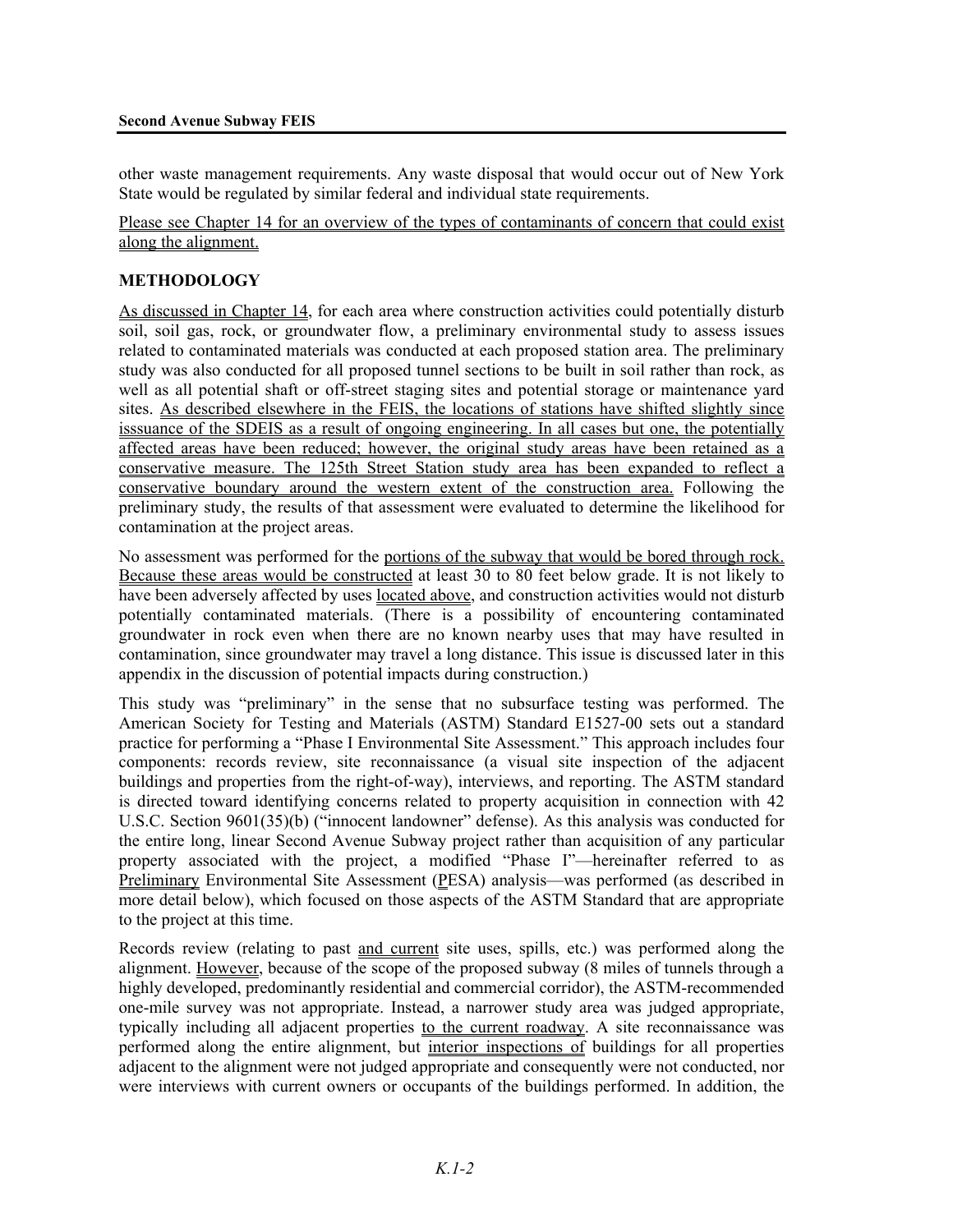other waste management requirements. Any waste disposal that would occur out of New York State would be regulated by similar federal and individual state requirements.

Please see Chapter 14 for an overview of the types of contaminants of concern that could exist along the alignment.

### **METHODOLOGY**

As discussed in Chapter 14, for each area where construction activities could potentially disturb soil, soil gas, rock, or groundwater flow, a preliminary environmental study to assess issues related to contaminated materials was conducted at each proposed station area. The preliminary study was also conducted for all proposed tunnel sections to be built in soil rather than rock, as well as all potential shaft or off-street staging sites and potential storage or maintenance yard sites. As described elsewhere in the FEIS, the locations of stations have shifted slightly since isssuance of the SDEIS as a result of ongoing engineering. In all cases but one, the potentially affected areas have been reduced; however, the original study areas have been retained as a conservative measure. The 125th Street Station study area has been expanded to reflect a conservative boundary around the western extent of the construction area. Following the preliminary study, the results of that assessment were evaluated to determine the likelihood for contamination at the project areas.

No assessment was performed for the portions of the subway that would be bored through rock. Because these areas would be constructed at least 30 to 80 feet below grade. It is not likely to have been adversely affected by uses located above, and construction activities would not disturb potentially contaminated materials. (There is a possibility of encountering contaminated groundwater in rock even when there are no known nearby uses that may have resulted in contamination, since groundwater may travel a long distance. This issue is discussed later in this appendix in the discussion of potential impacts during construction.)

This study was "preliminary" in the sense that no subsurface testing was performed. The American Society for Testing and Materials (ASTM) Standard E1527-00 sets out a standard practice for performing a "Phase I Environmental Site Assessment." This approach includes four components: records review, site reconnaissance (a visual site inspection of the adjacent buildings and properties from the right-of-way), interviews, and reporting. The ASTM standard is directed toward identifying concerns related to property acquisition in connection with 42 U.S.C. Section 9601(35)(b) ("innocent landowner" defense). As this analysis was conducted for the entire long, linear Second Avenue Subway project rather than acquisition of any particular property associated with the project, a modified "Phase I"—hereinafter referred to as Preliminary Environmental Site Assessment (PESA) analysis—was performed (as described in more detail below), which focused on those aspects of the ASTM Standard that are appropriate to the project at this time.

Records review (relating to past and current site uses, spills, etc.) was performed along the alignment. However, because of the scope of the proposed subway (8 miles of tunnels through a highly developed, predominantly residential and commercial corridor), the ASTM-recommended one-mile survey was not appropriate. Instead, a narrower study area was judged appropriate, typically including all adjacent properties to the current roadway. A site reconnaissance was performed along the entire alignment, but interior inspections of buildings for all properties adjacent to the alignment were not judged appropriate and consequently were not conducted, nor were interviews with current owners or occupants of the buildings performed. In addition, the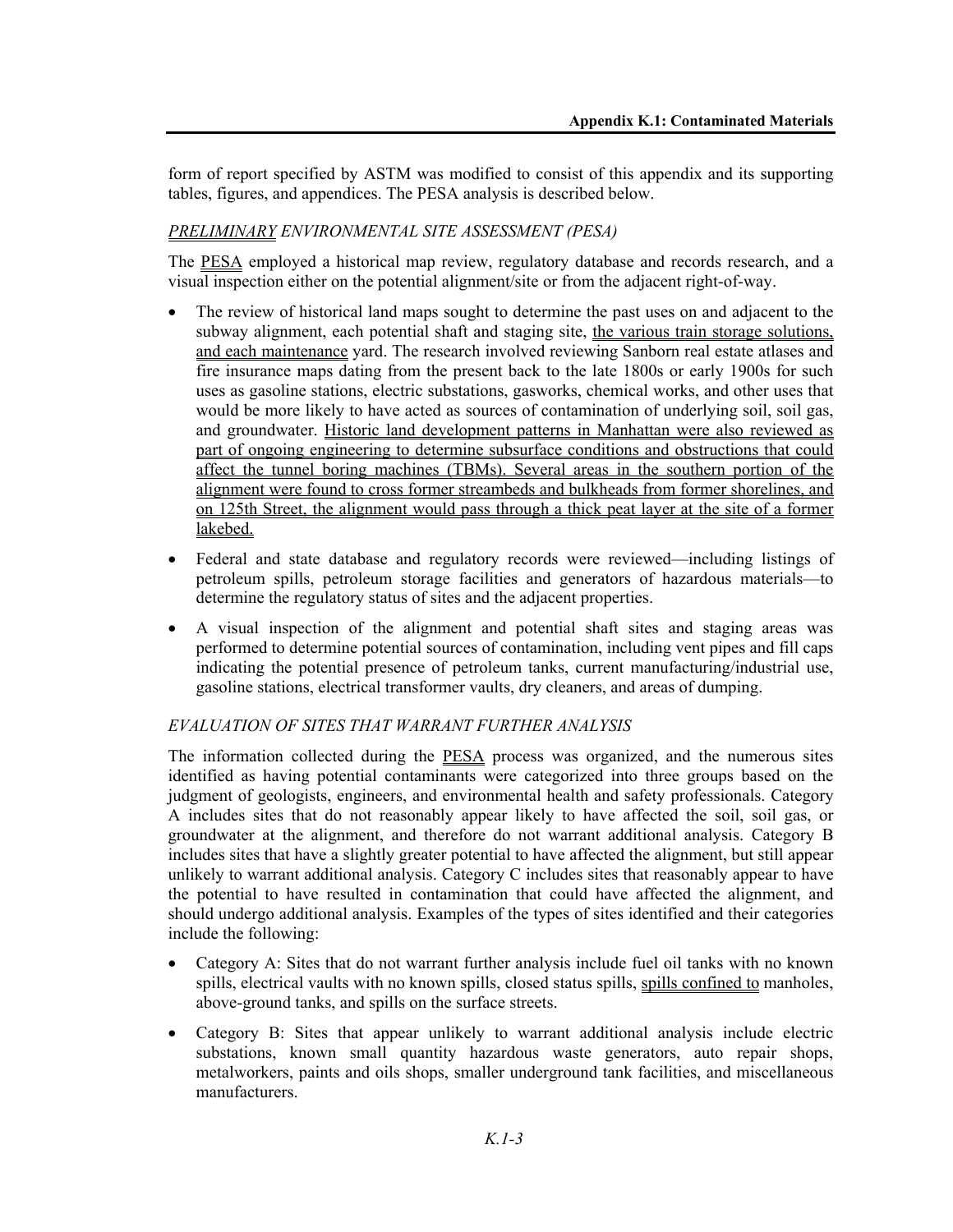form of report specified by ASTM was modified to consist of this appendix and its supporting tables, figures, and appendices. The PESA analysis is described below.

# *PRELIMINARY ENVIRONMENTAL SITE ASSESSMENT (PESA)*

The PESA employed a historical map review, regulatory database and records research, and a visual inspection either on the potential alignment/site or from the adjacent right-of-way.

- The review of historical land maps sought to determine the past uses on and adjacent to the subway alignment, each potential shaft and staging site, the various train storage solutions, and each maintenance yard. The research involved reviewing Sanborn real estate atlases and fire insurance maps dating from the present back to the late 1800s or early 1900s for such uses as gasoline stations, electric substations, gasworks, chemical works, and other uses that would be more likely to have acted as sources of contamination of underlying soil, soil gas, and groundwater. Historic land development patterns in Manhattan were also reviewed as part of ongoing engineering to determine subsurface conditions and obstructions that could affect the tunnel boring machines (TBMs). Several areas in the southern portion of the alignment were found to cross former streambeds and bulkheads from former shorelines, and on 125th Street, the alignment would pass through a thick peat layer at the site of a former lakebed.
- Federal and state database and regulatory records were reviewed—including listings of petroleum spills, petroleum storage facilities and generators of hazardous materials—to determine the regulatory status of sites and the adjacent properties.
- A visual inspection of the alignment and potential shaft sites and staging areas was performed to determine potential sources of contamination, including vent pipes and fill caps indicating the potential presence of petroleum tanks, current manufacturing/industrial use, gasoline stations, electrical transformer vaults, dry cleaners, and areas of dumping.

# *EVALUATION OF SITES THAT WARRANT FURTHER ANALYSIS*

The information collected during the **PESA** process was organized, and the numerous sites identified as having potential contaminants were categorized into three groups based on the judgment of geologists, engineers, and environmental health and safety professionals. Category A includes sites that do not reasonably appear likely to have affected the soil, soil gas, or groundwater at the alignment, and therefore do not warrant additional analysis. Category B includes sites that have a slightly greater potential to have affected the alignment, but still appear unlikely to warrant additional analysis. Category C includes sites that reasonably appear to have the potential to have resulted in contamination that could have affected the alignment, and should undergo additional analysis. Examples of the types of sites identified and their categories include the following:

- Category A: Sites that do not warrant further analysis include fuel oil tanks with no known spills, electrical vaults with no known spills, closed status spills, spills confined to manholes, above-ground tanks, and spills on the surface streets.
- Category B: Sites that appear unlikely to warrant additional analysis include electric substations, known small quantity hazardous waste generators, auto repair shops, metalworkers, paints and oils shops, smaller underground tank facilities, and miscellaneous manufacturers.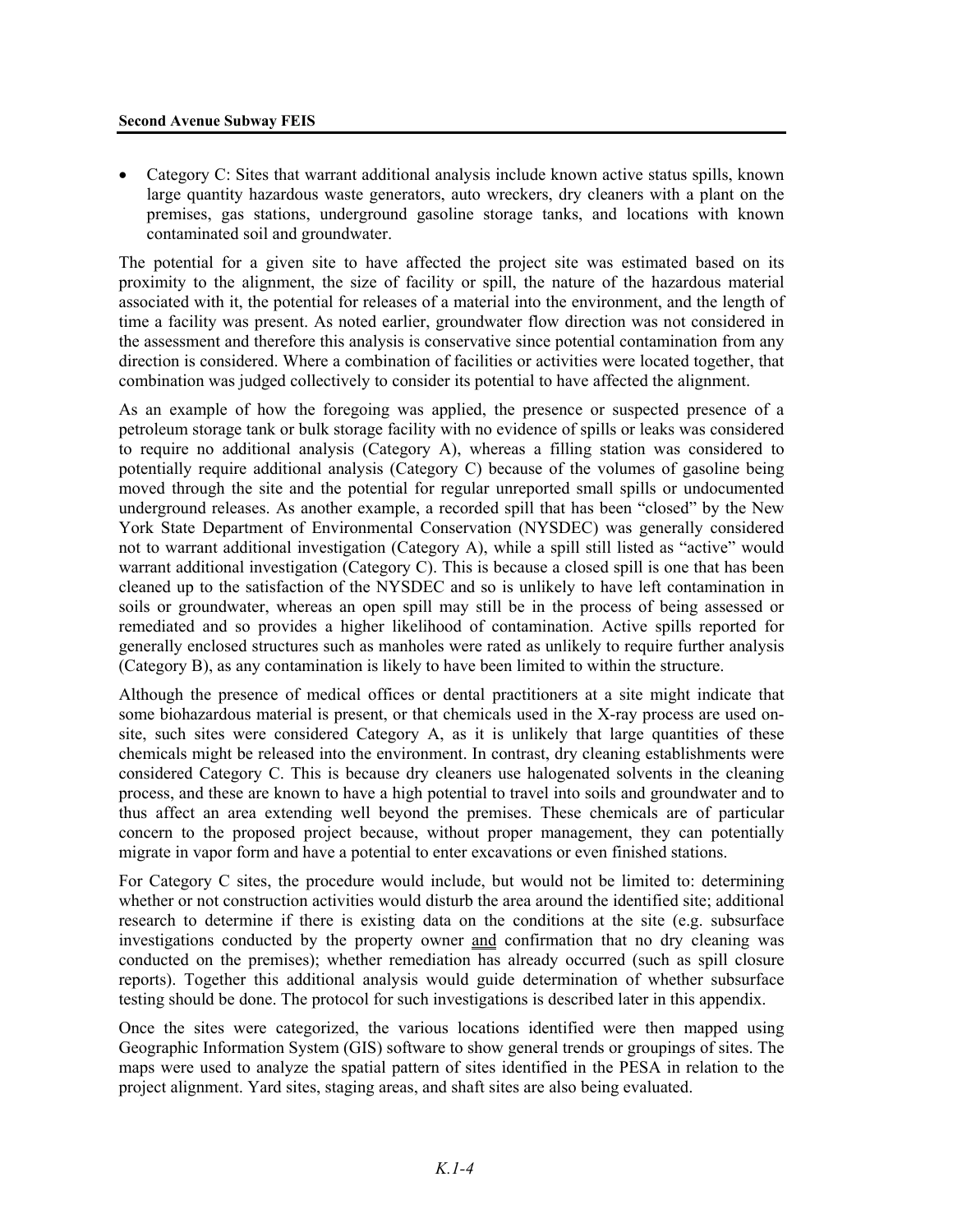#### **Second Avenue Subway FEIS**

• Category C: Sites that warrant additional analysis include known active status spills, known large quantity hazardous waste generators, auto wreckers, dry cleaners with a plant on the premises, gas stations, underground gasoline storage tanks, and locations with known contaminated soil and groundwater.

The potential for a given site to have affected the project site was estimated based on its proximity to the alignment, the size of facility or spill, the nature of the hazardous material associated with it, the potential for releases of a material into the environment, and the length of time a facility was present. As noted earlier, groundwater flow direction was not considered in the assessment and therefore this analysis is conservative since potential contamination from any direction is considered. Where a combination of facilities or activities were located together, that combination was judged collectively to consider its potential to have affected the alignment.

As an example of how the foregoing was applied, the presence or suspected presence of a petroleum storage tank or bulk storage facility with no evidence of spills or leaks was considered to require no additional analysis (Category A), whereas a filling station was considered to potentially require additional analysis (Category C) because of the volumes of gasoline being moved through the site and the potential for regular unreported small spills or undocumented underground releases. As another example, a recorded spill that has been "closed" by the New York State Department of Environmental Conservation (NYSDEC) was generally considered not to warrant additional investigation (Category A), while a spill still listed as "active" would warrant additional investigation (Category C). This is because a closed spill is one that has been cleaned up to the satisfaction of the NYSDEC and so is unlikely to have left contamination in soils or groundwater, whereas an open spill may still be in the process of being assessed or remediated and so provides a higher likelihood of contamination. Active spills reported for generally enclosed structures such as manholes were rated as unlikely to require further analysis (Category B), as any contamination is likely to have been limited to within the structure.

Although the presence of medical offices or dental practitioners at a site might indicate that some biohazardous material is present, or that chemicals used in the X-ray process are used onsite, such sites were considered Category A, as it is unlikely that large quantities of these chemicals might be released into the environment. In contrast, dry cleaning establishments were considered Category C. This is because dry cleaners use halogenated solvents in the cleaning process, and these are known to have a high potential to travel into soils and groundwater and to thus affect an area extending well beyond the premises. These chemicals are of particular concern to the proposed project because, without proper management, they can potentially migrate in vapor form and have a potential to enter excavations or even finished stations.

For Category C sites, the procedure would include, but would not be limited to: determining whether or not construction activities would disturb the area around the identified site; additional research to determine if there is existing data on the conditions at the site (e.g. subsurface investigations conducted by the property owner and confirmation that no dry cleaning was conducted on the premises); whether remediation has already occurred (such as spill closure reports). Together this additional analysis would guide determination of whether subsurface testing should be done. The protocol for such investigations is described later in this appendix.

Once the sites were categorized, the various locations identified were then mapped using Geographic Information System (GIS) software to show general trends or groupings of sites. The maps were used to analyze the spatial pattern of sites identified in the PESA in relation to the project alignment. Yard sites, staging areas, and shaft sites are also being evaluated.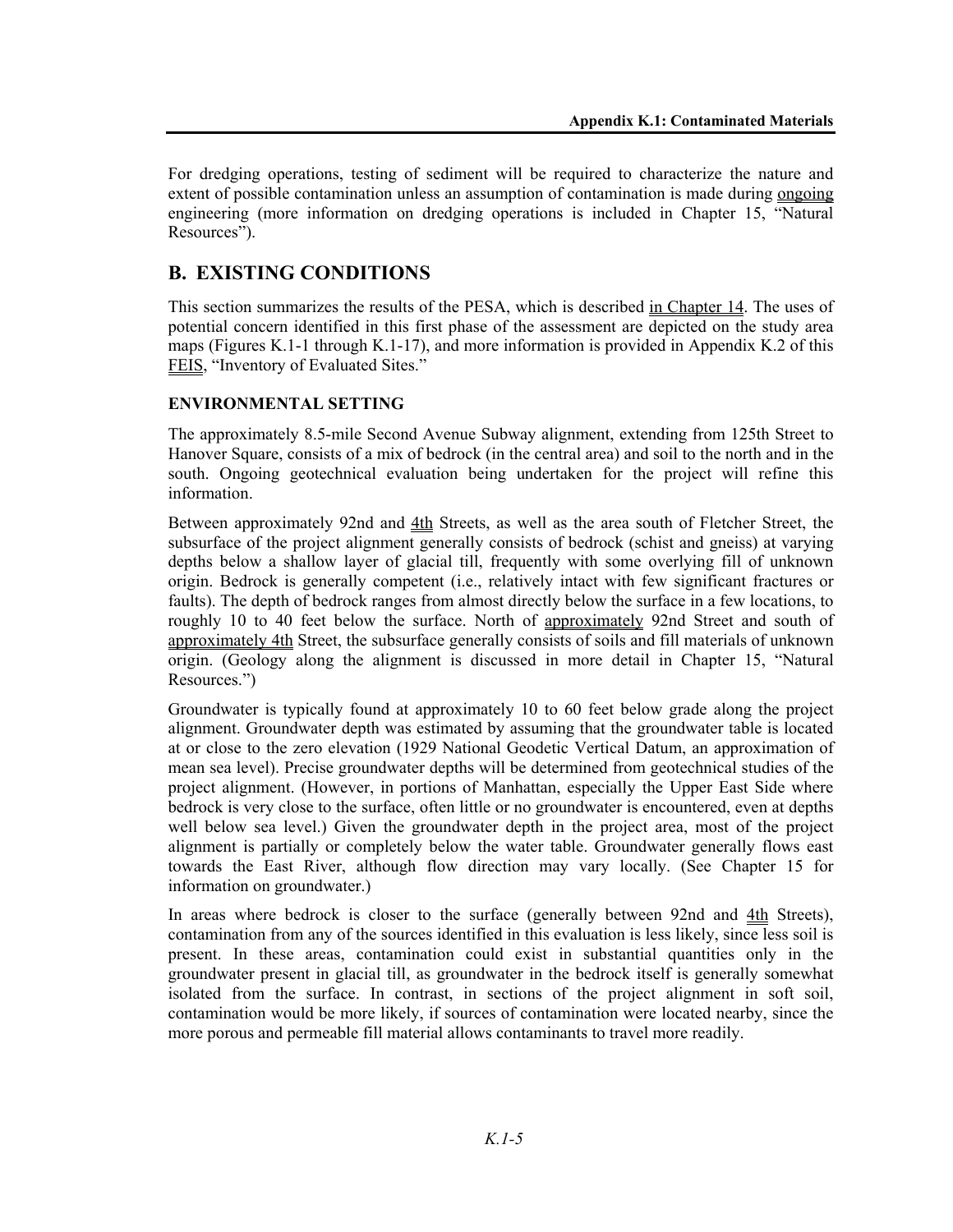For dredging operations, testing of sediment will be required to characterize the nature and extent of possible contamination unless an assumption of contamination is made during ongoing engineering (more information on dredging operations is included in Chapter 15, "Natural Resources").

# **B. EXISTING CONDITIONS**

This section summarizes the results of the PESA, which is described in Chapter 14. The uses of potential concern identified in this first phase of the assessment are depicted on the study area maps (Figures K.1-1 through K.1-17), and more information is provided in Appendix K.2 of this FEIS, "Inventory of Evaluated Sites."

# **ENVIRONMENTAL SETTING**

The approximately 8.5-mile Second Avenue Subway alignment, extending from 125th Street to Hanover Square, consists of a mix of bedrock (in the central area) and soil to the north and in the south. Ongoing geotechnical evaluation being undertaken for the project will refine this information.

Between approximately 92nd and 4th Streets, as well as the area south of Fletcher Street, the subsurface of the project alignment generally consists of bedrock (schist and gneiss) at varying depths below a shallow layer of glacial till, frequently with some overlying fill of unknown origin. Bedrock is generally competent (i.e., relatively intact with few significant fractures or faults). The depth of bedrock ranges from almost directly below the surface in a few locations, to roughly 10 to 40 feet below the surface. North of approximately 92nd Street and south of approximately 4th Street, the subsurface generally consists of soils and fill materials of unknown origin. (Geology along the alignment is discussed in more detail in Chapter 15, "Natural Resources.")

Groundwater is typically found at approximately 10 to 60 feet below grade along the project alignment. Groundwater depth was estimated by assuming that the groundwater table is located at or close to the zero elevation (1929 National Geodetic Vertical Datum, an approximation of mean sea level). Precise groundwater depths will be determined from geotechnical studies of the project alignment. (However, in portions of Manhattan, especially the Upper East Side where bedrock is very close to the surface, often little or no groundwater is encountered, even at depths well below sea level.) Given the groundwater depth in the project area, most of the project alignment is partially or completely below the water table. Groundwater generally flows east towards the East River, although flow direction may vary locally. (See Chapter 15 for information on groundwater.)

In areas where bedrock is closer to the surface (generally between 92nd and 4th Streets), contamination from any of the sources identified in this evaluation is less likely, since less soil is present. In these areas, contamination could exist in substantial quantities only in the groundwater present in glacial till, as groundwater in the bedrock itself is generally somewhat isolated from the surface. In contrast, in sections of the project alignment in soft soil, contamination would be more likely, if sources of contamination were located nearby, since the more porous and permeable fill material allows contaminants to travel more readily.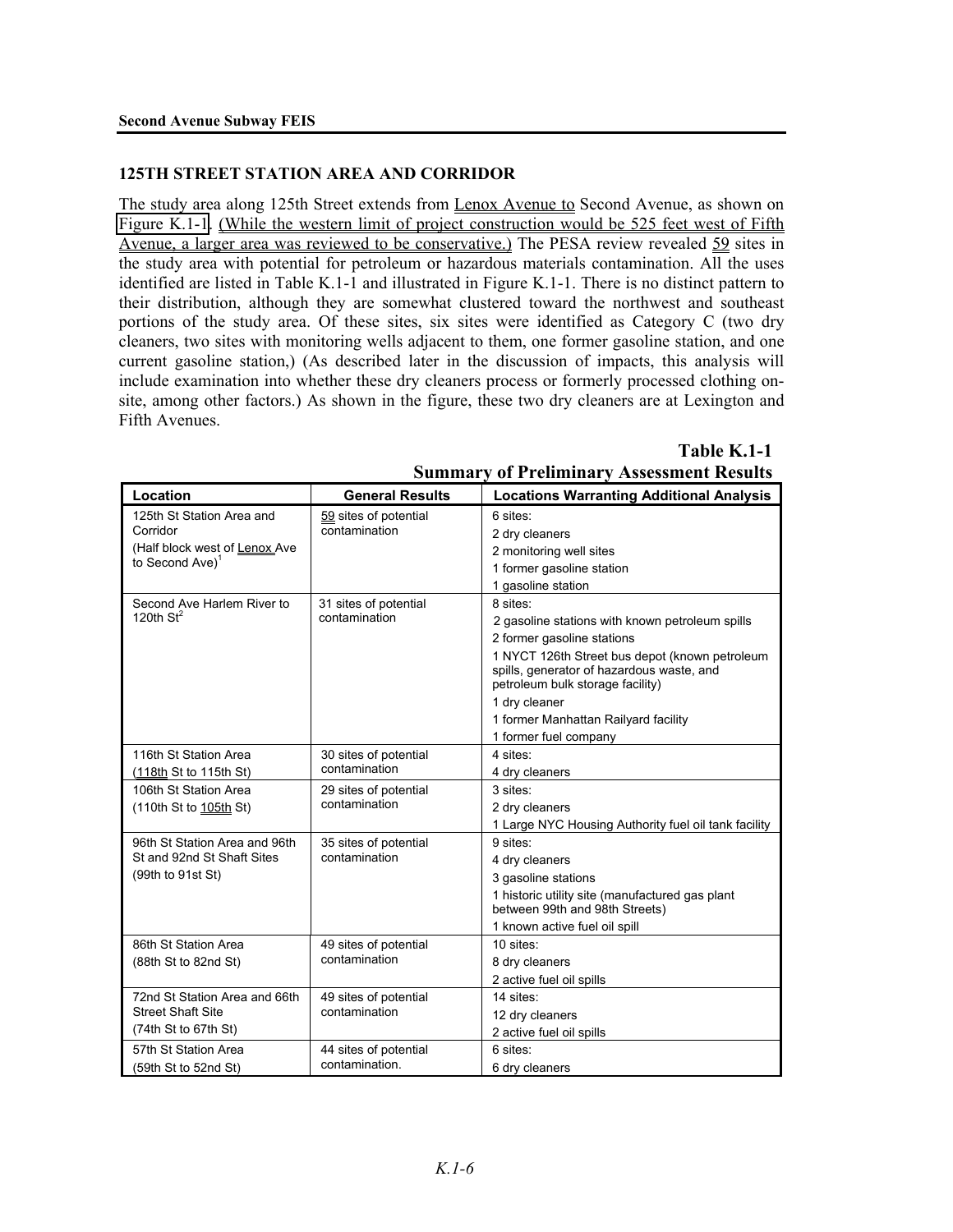#### **125TH STREET STATION AREA AND CORRIDOR**

The study area along 125th Street extends from Lenox Avenue to Second Avenue, as shown on Figure K.1-1. (While the western limit of project construction would be 525 feet west of Fifth Avenue, a larger area was reviewed to be conservative.) The PESA review revealed 59 sites in the study area with potential for petroleum or hazardous materials contamination. All the uses identified are listed in Table K.1-1 and illustrated in Figure K.1-1. There is no distinct pattern to their distribution, although they are somewhat clustered toward the northwest and southeast portions of the study area. Of these sites, six sites were identified as Category C (two dry cleaners, two sites with monitoring wells adjacent to them, one former gasoline station, and one current gasoline station,) (As described later in the discussion of impacts, this analysis will include examination into whether these dry cleaners process or formerly processed clothing onsite, among other factors.) As shown in the figure, these two dry cleaners are at Lexington and Fifth Avenues.

#### **Table K.1-1**

| Location                                                                                              | <b>General Results</b>                  | <b>Locations Warranting Additional Analysis</b>                                                                                                                                                                                                                                                                |
|-------------------------------------------------------------------------------------------------------|-----------------------------------------|----------------------------------------------------------------------------------------------------------------------------------------------------------------------------------------------------------------------------------------------------------------------------------------------------------------|
| 125th St Station Area and<br>Corridor<br>(Half block west of Lenox Ave<br>to Second Ave) <sup>1</sup> | 59 sites of potential<br>contamination  | 6 sites:<br>2 dry cleaners<br>2 monitoring well sites<br>1 former gasoline station<br>1 gasoline station                                                                                                                                                                                                       |
| Second Ave Harlem River to<br>120th $St^2$                                                            | 31 sites of potential<br>contamination  | 8 sites:<br>2 gasoline stations with known petroleum spills<br>2 former gasoline stations<br>1 NYCT 126th Street bus depot (known petroleum<br>spills, generator of hazardous waste, and<br>petroleum bulk storage facility)<br>1 dry cleaner<br>1 former Manhattan Railyard facility<br>1 former fuel company |
| 116th St Station Area<br>(118th St to 115th St)                                                       | 30 sites of potential<br>contamination  | 4 sites:<br>4 dry cleaners                                                                                                                                                                                                                                                                                     |
| 106th St Station Area<br>(110th St to 105th St)                                                       | 29 sites of potential<br>contamination  | 3 sites:<br>2 dry cleaners<br>1 Large NYC Housing Authority fuel oil tank facility                                                                                                                                                                                                                             |
| 96th St Station Area and 96th<br>St and 92nd St Shaft Sites<br>(99th to 91st St)                      | 35 sites of potential<br>contamination  | 9 sites:<br>4 dry cleaners<br>3 gasoline stations<br>1 historic utility site (manufactured gas plant<br>between 99th and 98th Streets)<br>1 known active fuel oil spill                                                                                                                                        |
| 86th St Station Area<br>(88th St to 82nd St)                                                          | 49 sites of potential<br>contamination  | $10$ sites:<br>8 dry cleaners<br>2 active fuel oil spills                                                                                                                                                                                                                                                      |
| 72nd St Station Area and 66th<br><b>Street Shaft Site</b><br>(74th St to 67th St)                     | 49 sites of potential<br>contamination  | 14 sites:<br>12 dry cleaners<br>2 active fuel oil spills                                                                                                                                                                                                                                                       |
| 57th St Station Area<br>(59th St to 52nd St)                                                          | 44 sites of potential<br>contamination. | 6 sites:<br>6 dry cleaners                                                                                                                                                                                                                                                                                     |

# **Summary of Preliminary Assessment Results**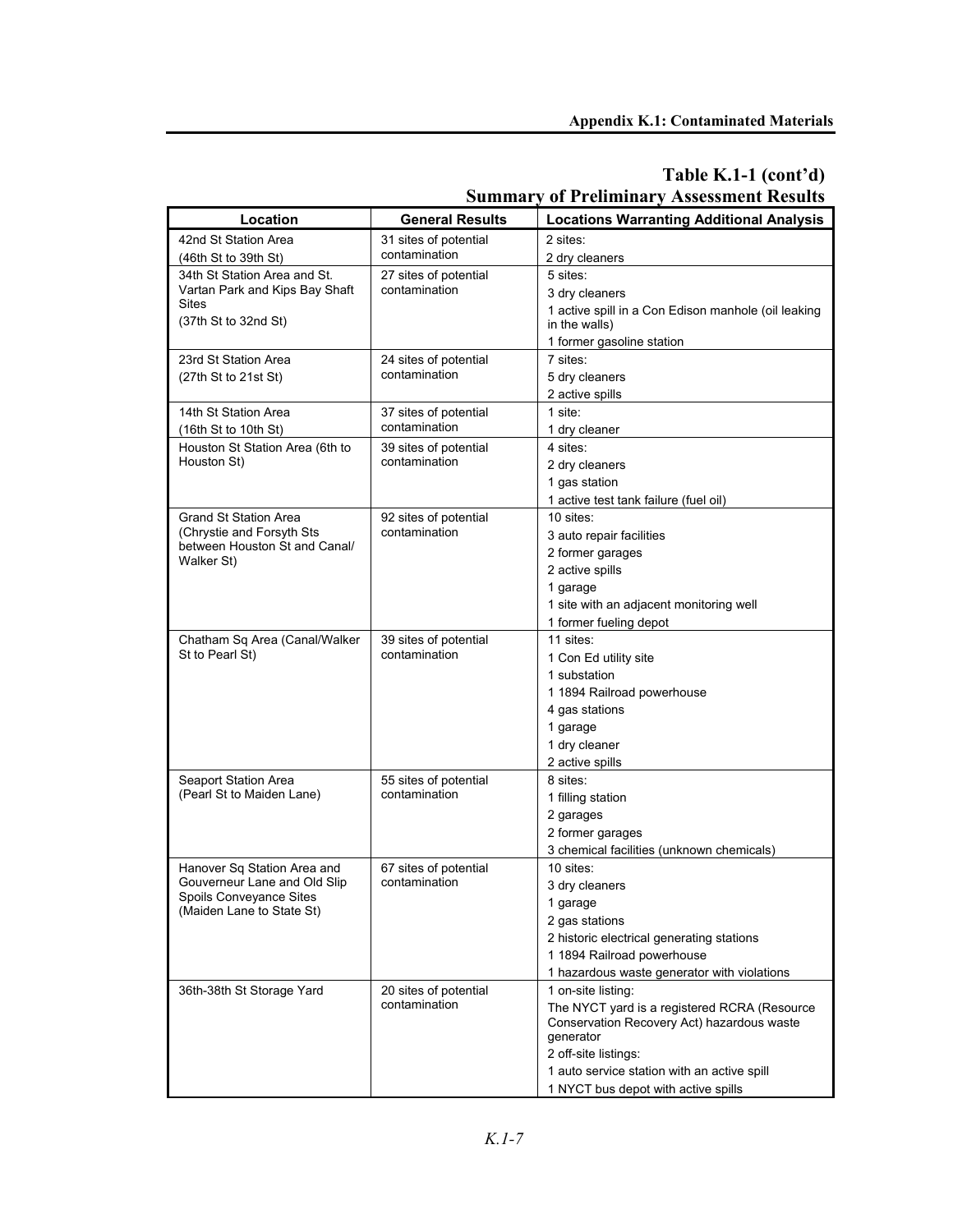| Location                                                                             | <b>General Results</b>                 | <b>Locations Warranting Additional Analysis</b>     |
|--------------------------------------------------------------------------------------|----------------------------------------|-----------------------------------------------------|
| 42nd St Station Area                                                                 | 31 sites of potential<br>contamination | 2 sites:                                            |
| (46th St to 39th St)                                                                 |                                        | 2 dry cleaners                                      |
| 34th St Station Area and St.                                                         | 27 sites of potential                  | 5 sites:                                            |
| Vartan Park and Kips Bay Shaft                                                       | contamination                          | 3 dry cleaners                                      |
| <b>Sites</b>                                                                         |                                        | 1 active spill in a Con Edison manhole (oil leaking |
| (37th St to 32nd St)                                                                 |                                        | in the walls)                                       |
|                                                                                      |                                        | 1 former gasoline station                           |
| 23rd St Station Area                                                                 | 24 sites of potential                  | 7 sites:                                            |
| (27th St to 21st St)                                                                 | contamination                          | 5 dry cleaners                                      |
|                                                                                      |                                        | 2 active spills                                     |
| 14th St Station Area                                                                 | 37 sites of potential                  | 1 site:                                             |
| (16th St to 10th St)                                                                 | contamination                          | 1 dry cleaner                                       |
| Houston St Station Area (6th to                                                      | 39 sites of potential                  | 4 sites:                                            |
| Houston St)                                                                          | contamination                          | 2 dry cleaners                                      |
|                                                                                      |                                        | 1 gas station                                       |
|                                                                                      |                                        | 1 active test tank failure (fuel oil)               |
| <b>Grand St Station Area</b>                                                         | 92 sites of potential                  | 10 sites:                                           |
| (Chrystie and Forsyth Sts                                                            | contamination                          | 3 auto repair facilities                            |
| between Houston St and Canal/                                                        |                                        | 2 former garages                                    |
| Walker St)                                                                           |                                        | 2 active spills                                     |
|                                                                                      |                                        | 1 garage                                            |
|                                                                                      |                                        | 1 site with an adjacent monitoring well             |
|                                                                                      |                                        | 1 former fueling depot                              |
| Chatham Sq Area (Canal/Walker<br>St to Pearl St)                                     | 39 sites of potential<br>contamination | 11 sites:                                           |
|                                                                                      |                                        | 1 Con Ed utility site                               |
|                                                                                      |                                        | 1 substation                                        |
|                                                                                      |                                        | 1 1894 Railroad powerhouse                          |
|                                                                                      |                                        | 4 gas stations                                      |
|                                                                                      |                                        | 1 garage                                            |
|                                                                                      |                                        | 1 dry cleaner                                       |
|                                                                                      |                                        | 2 active spills                                     |
| Seaport Station Area                                                                 | 55 sites of potential<br>contamination | 8 sites:                                            |
| (Pearl St to Maiden Lane)                                                            |                                        | 1 filling station                                   |
|                                                                                      |                                        | 2 garages                                           |
|                                                                                      |                                        | 2 former garages                                    |
|                                                                                      |                                        | 3 chemical facilities (unknown chemicals)           |
| Hanover Sq Station Area and                                                          | 67 sites of potential<br>contamination | 10 sites:                                           |
| Gouverneur Lane and Old Slip<br>Spoils Conveyance Sites<br>(Maiden Lane to State St) |                                        | 3 dry cleaners                                      |
|                                                                                      |                                        | 1 garage                                            |
|                                                                                      |                                        | 2 gas stations                                      |
|                                                                                      |                                        | 2 historic electrical generating stations           |
|                                                                                      |                                        | 1 1894 Railroad powerhouse                          |
|                                                                                      |                                        | 1 hazardous waste generator with violations         |
| 36th-38th St Storage Yard                                                            | 20 sites of potential<br>contamination | 1 on-site listing:                                  |
|                                                                                      |                                        | The NYCT yard is a registered RCRA (Resource        |
|                                                                                      |                                        | Conservation Recovery Act) hazardous waste          |
|                                                                                      |                                        | generator<br>2 off-site listings:                   |
|                                                                                      |                                        | 1 auto service station with an active spill         |
|                                                                                      |                                        |                                                     |
|                                                                                      |                                        | 1 NYCT bus depot with active spills                 |

# **Table K.1-1 (cont'd) Summary of Preliminary Assessment Results**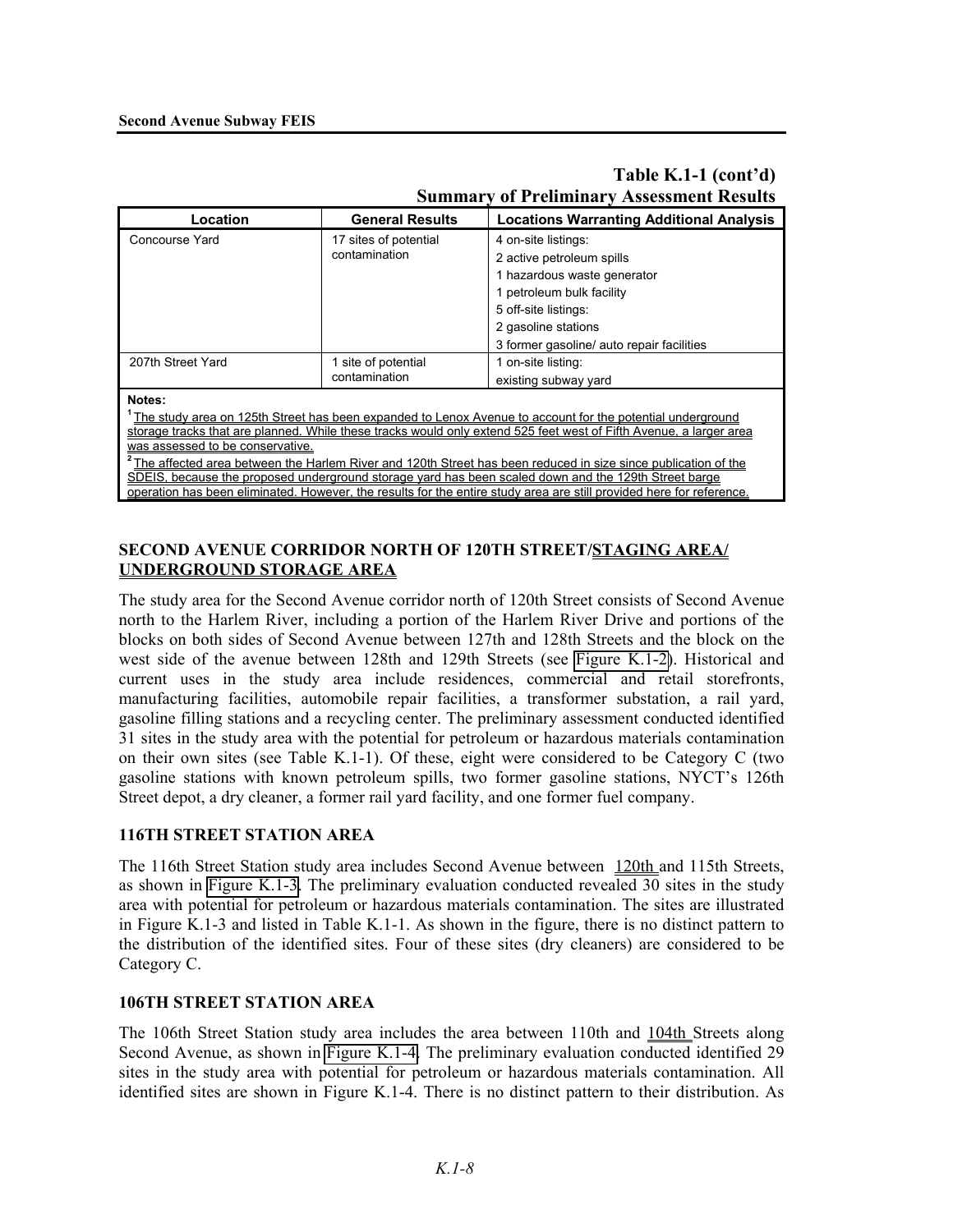|                                                                                                                            |                                        | миницат у от 1 годиницат у Азэсээнили толбого   |  |  |
|----------------------------------------------------------------------------------------------------------------------------|----------------------------------------|-------------------------------------------------|--|--|
| Location                                                                                                                   | <b>General Results</b>                 | <b>Locations Warranting Additional Analysis</b> |  |  |
| Concourse Yard                                                                                                             | 17 sites of potential<br>contamination | 4 on-site listings:                             |  |  |
|                                                                                                                            |                                        | 2 active petroleum spills                       |  |  |
|                                                                                                                            |                                        | 1 hazardous waste generator                     |  |  |
|                                                                                                                            |                                        | 1 petroleum bulk facility                       |  |  |
|                                                                                                                            |                                        | 5 off-site listings:                            |  |  |
|                                                                                                                            |                                        | 2 gasoline stations                             |  |  |
|                                                                                                                            |                                        | 3 former gasoline/ auto repair facilities       |  |  |
| 207th Street Yard                                                                                                          | 1 site of potential<br>contamination   | 1 on-site listing:                              |  |  |
|                                                                                                                            |                                        | existing subway yard                            |  |  |
| Notes:                                                                                                                     |                                        |                                                 |  |  |
| The study area on 125th Street has been expanded to Lenox Avenue to account for the potential underground                  |                                        |                                                 |  |  |
| storage tracks that are planned. While these tracks would only extend 525 feet west of Fifth Avenue, a larger area         |                                        |                                                 |  |  |
| was assessed to be conservative.                                                                                           |                                        |                                                 |  |  |
| <sup>2</sup> The affected area between the Harlem River and 120th Street has been reduced in size since publication of the |                                        |                                                 |  |  |
| SDEIS, because the proposed underground storage yard has been scaled down and the 129th Street barge                       |                                        |                                                 |  |  |
| operation has been eliminated. However, the results for the entire study area are still provided here for reference.       |                                        |                                                 |  |  |
|                                                                                                                            |                                        |                                                 |  |  |

# **Table K.1-1 (cont'd) Summary of Preliminary Assessment Results**

## **SECOND AVENUE CORRIDOR NORTH OF 120TH STREET/STAGING AREA/ UNDERGROUND STORAGE AREA**

The study area for the Second Avenue corridor north of 120th Street consists of Second Avenue north to the Harlem River, including a portion of the Harlem River Drive and portions of the blocks on both sides of Second Avenue between 127th and 128th Streets and the block on the west side of the avenue between 128th and 129th Streets (see Figure K.1-2). Historical and current uses in the study area include residences, commercial and retail storefronts, manufacturing facilities, automobile repair facilities, a transformer substation, a rail yard, gasoline filling stations and a recycling center. The preliminary assessment conducted identified 31 sites in the study area with the potential for petroleum or hazardous materials contamination on their own sites (see Table K.1-1). Of these, eight were considered to be Category C (two gasoline stations with known petroleum spills, two former gasoline stations, NYCT's 126th Street depot, a dry cleaner, a former rail yard facility, and one former fuel company.

# **116TH STREET STATION AREA**

The 116th Street Station study area includes Second Avenue between 120th and 115th Streets, as shown in Figure K.1-3. The preliminary evaluation conducted revealed 30 sites in the study area with potential for petroleum or hazardous materials contamination. The sites are illustrated in Figure K.1-3 and listed in Table K.1-1. As shown in the figure, there is no distinct pattern to the distribution of the identified sites. Four of these sites (dry cleaners) are considered to be Category C.

# **106TH STREET STATION AREA**

The 106th Street Station study area includes the area between 110th and 104th Streets along Second Avenue, as shown in Figure K.1-4. The preliminary evaluation conducted identified 29 sites in the study area with potential for petroleum or hazardous materials contamination. All identified sites are shown in Figure K.1-4. There is no distinct pattern to their distribution. As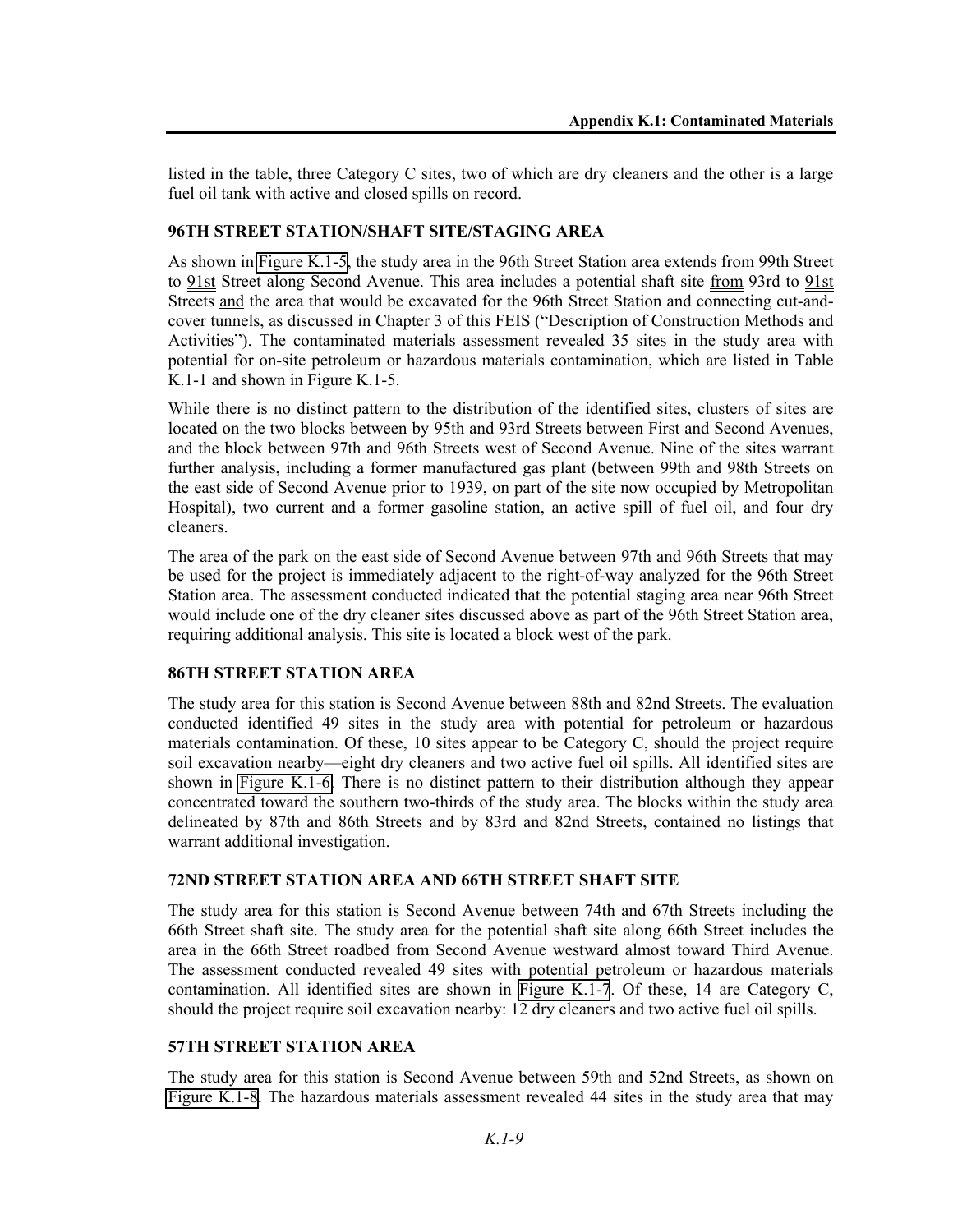listed in the table, three Category C sites, two of which are dry cleaners and the other is a large fuel oil tank with active and closed spills on record.

#### **96TH STREET STATION/SHAFT SITE/STAGING AREA**

As shown in Figure K.1-5, the study area in the 96th Street Station area extends from 99th Street to 91st Street along Second Avenue. This area includes a potential shaft site from 93rd to 91st Streets and the area that would be excavated for the 96th Street Station and connecting cut-andcover tunnels, as discussed in Chapter 3 of this FEIS ("Description of Construction Methods and Activities"). The contaminated materials assessment revealed 35 sites in the study area with potential for on-site petroleum or hazardous materials contamination, which are listed in Table K.1-1 and shown in Figure K.1-5.

While there is no distinct pattern to the distribution of the identified sites, clusters of sites are located on the two blocks between by 95th and 93rd Streets between First and Second Avenues, and the block between 97th and 96th Streets west of Second Avenue. Nine of the sites warrant further analysis, including a former manufactured gas plant (between 99th and 98th Streets on the east side of Second Avenue prior to 1939, on part of the site now occupied by Metropolitan Hospital), two current and a former gasoline station, an active spill of fuel oil, and four dry cleaners.

The area of the park on the east side of Second Avenue between 97th and 96th Streets that may be used for the project is immediately adjacent to the right-of-way analyzed for the 96th Street Station area. The assessment conducted indicated that the potential staging area near 96th Street would include one of the dry cleaner sites discussed above as part of the 96th Street Station area, requiring additional analysis. This site is located a block west of the park.

#### **86TH STREET STATION AREA**

The study area for this station is Second Avenue between 88th and 82nd Streets. The evaluation conducted identified 49 sites in the study area with potential for petroleum or hazardous materials contamination. Of these, 10 sites appear to be Category C, should the project require soil excavation nearby—eight dry cleaners and two active fuel oil spills. All identified sites are shown in Figure K.1-6. There is no distinct pattern to their distribution although they appear concentrated toward the southern two-thirds of the study area. The blocks within the study area delineated by 87th and 86th Streets and by 83rd and 82nd Streets, contained no listings that warrant additional investigation.

#### **72ND STREET STATION AREA AND 66TH STREET SHAFT SITE**

The study area for this station is Second Avenue between 74th and 67th Streets including the 66th Street shaft site. The study area for the potential shaft site along 66th Street includes the area in the 66th Street roadbed from Second Avenue westward almost toward Third Avenue. The assessment conducted revealed 49 sites with potential petroleum or hazardous materials contamination. All identified sites are shown in Figure K.1-7. Of these, 14 are Category C, should the project require soil excavation nearby: 12 dry cleaners and two active fuel oil spills.

#### **57TH STREET STATION AREA**

The study area for this station is Second Avenue between 59th and 52nd Streets, as shown on Figure K.1-8. The hazardous materials assessment revealed 44 sites in the study area that may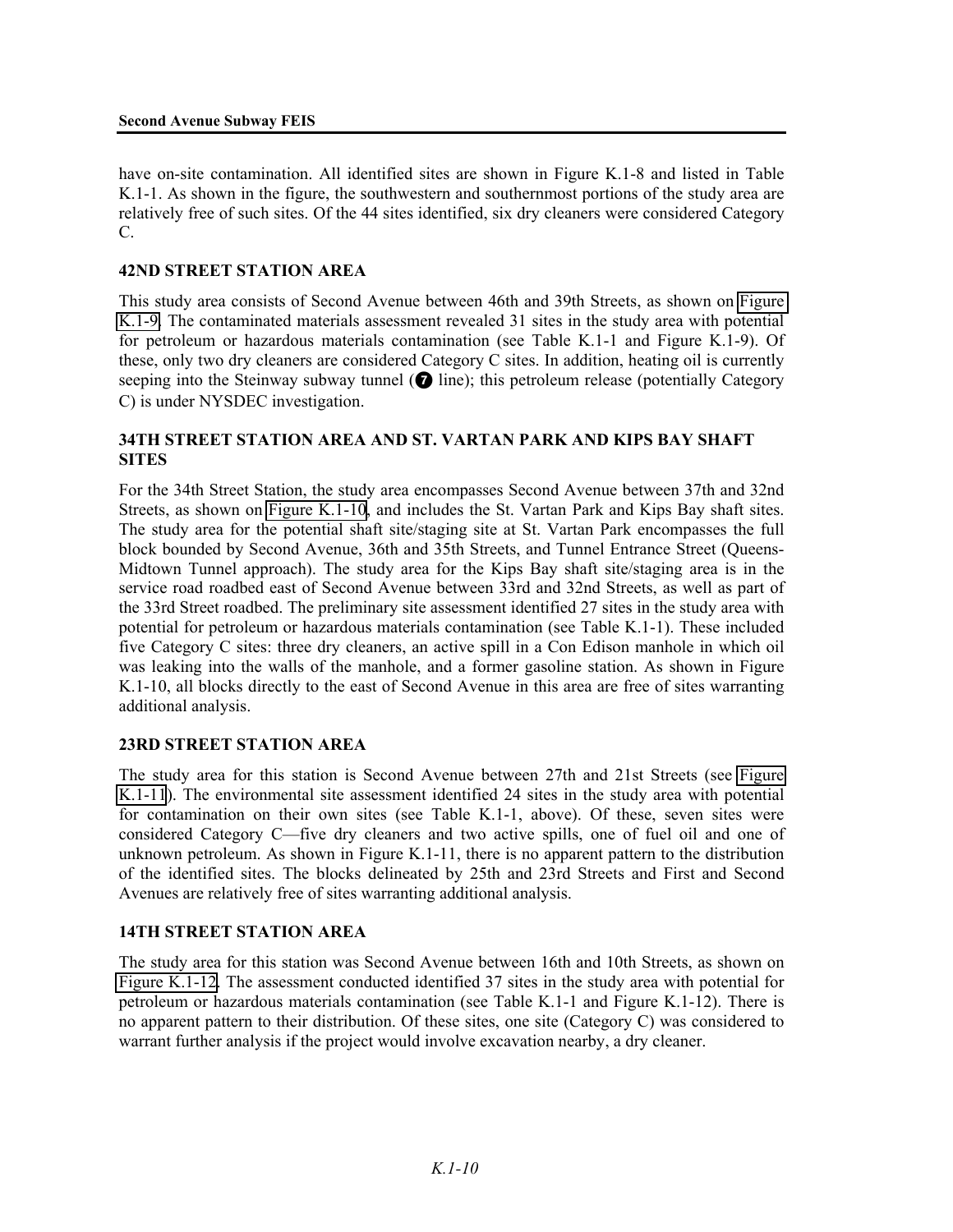have on-site contamination. All identified sites are shown in Figure K.1-8 and listed in Table K.1-1. As shown in the figure, the southwestern and southernmost portions of the study area are relatively free of such sites. Of the 44 sites identified, six dry cleaners were considered Category C.

#### **42ND STREET STATION AREA**

This study area consists of Second Avenue between 46th and 39th Streets, as shown on Figure K.1-9. The contaminated materials assessment revealed 31 sites in the study area with potential for petroleum or hazardous materials contamination (see Table K.1-1 and Figure K.1-9). Of these, only two dry cleaners are considered Category C sites. In addition, heating oil is currently seeping into the Steinway subway tunnel  $\odot$  line); this petroleum release (potentially Category C) is under NYSDEC investigation.

## **34TH STREET STATION AREA AND ST. VARTAN PARK AND KIPS BAY SHAFT SITES**

For the 34th Street Station, the study area encompasses Second Avenue between 37th and 32nd Streets, as shown on Figure K.1-10, and includes the St. Vartan Park and Kips Bay shaft sites. The study area for the potential shaft site/staging site at St. Vartan Park encompasses the full block bounded by Second Avenue, 36th and 35th Streets, and Tunnel Entrance Street (Queens-Midtown Tunnel approach). The study area for the Kips Bay shaft site/staging area is in the service road roadbed east of Second Avenue between 33rd and 32nd Streets, as well as part of the 33rd Street roadbed. The preliminary site assessment identified 27 sites in the study area with potential for petroleum or hazardous materials contamination (see Table K.1-1). These included five Category C sites: three dry cleaners, an active spill in a Con Edison manhole in which oil was leaking into the walls of the manhole, and a former gasoline station. As shown in Figure K.1-10, all blocks directly to the east of Second Avenue in this area are free of sites warranting additional analysis.

#### **23RD STREET STATION AREA**

The study area for this station is Second Avenue between 27th and 21st Streets (see Figure K.1-11). The environmental site assessment identified 24 sites in the study area with potential for contamination on their own sites (see Table K.1-1, above). Of these, seven sites were considered Category C—five dry cleaners and two active spills, one of fuel oil and one of unknown petroleum. As shown in Figure K.1-11, there is no apparent pattern to the distribution of the identified sites. The blocks delineated by 25th and 23rd Streets and First and Second Avenues are relatively free of sites warranting additional analysis.

#### **14TH STREET STATION AREA**

The study area for this station was Second Avenue between 16th and 10th Streets, as shown on Figure K.1-12. The assessment conducted identified 37 sites in the study area with potential for petroleum or hazardous materials contamination (see Table K.1-1 and Figure K.1-12). There is no apparent pattern to their distribution. Of these sites, one site (Category C) was considered to warrant further analysis if the project would involve excavation nearby, a dry cleaner.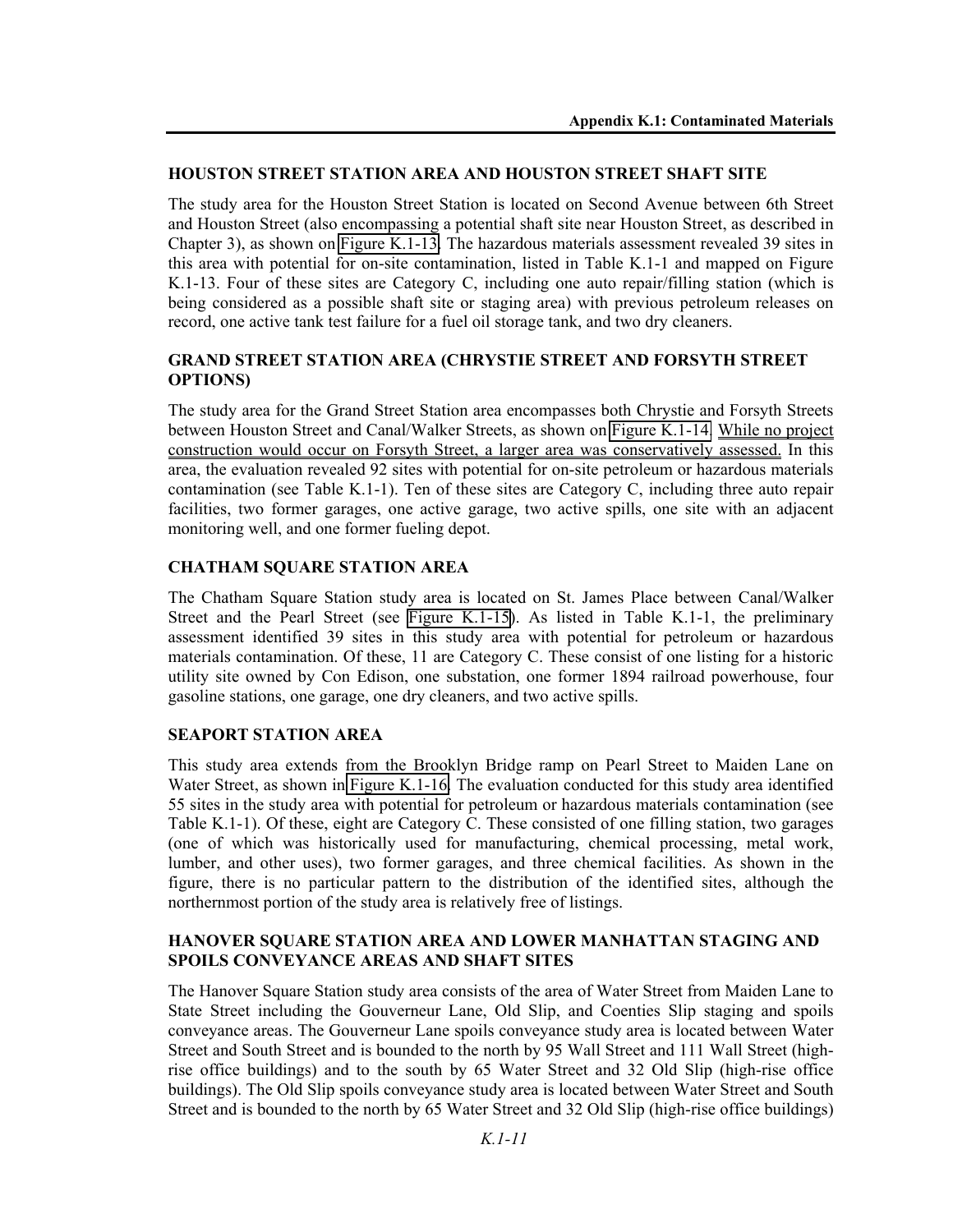#### **HOUSTON STREET STATION AREA AND HOUSTON STREET SHAFT SITE**

The study area for the Houston Street Station is located on Second Avenue between 6th Street and Houston Street (also encompassing a potential shaft site near Houston Street, as described in Chapter 3), as shown on Figure K.1-13. The hazardous materials assessment revealed 39 sites in this area with potential for on-site contamination, listed in Table K.1-1 and mapped on Figure K.1-13. Four of these sites are Category C, including one auto repair/filling station (which is being considered as a possible shaft site or staging area) with previous petroleum releases on record, one active tank test failure for a fuel oil storage tank, and two dry cleaners.

# **GRAND STREET STATION AREA (CHRYSTIE STREET AND FORSYTH STREET OPTIONS)**

The study area for the Grand Street Station area encompasses both Chrystie and Forsyth Streets between Houston Street and Canal/Walker Streets, as shown on Figure K.1-14. While no project construction would occur on Forsyth Street, a larger area was conservatively assessed. In this area, the evaluation revealed 92 sites with potential for on-site petroleum or hazardous materials contamination (see Table K.1-1). Ten of these sites are Category C, including three auto repair facilities, two former garages, one active garage, two active spills, one site with an adjacent monitoring well, and one former fueling depot.

## **CHATHAM SQUARE STATION AREA**

The Chatham Square Station study area is located on St. James Place between Canal/Walker Street and the Pearl Street (see Figure K.1-15). As listed in Table K.1-1, the preliminary assessment identified 39 sites in this study area with potential for petroleum or hazardous materials contamination. Of these, 11 are Category C. These consist of one listing for a historic utility site owned by Con Edison, one substation, one former 1894 railroad powerhouse, four gasoline stations, one garage, one dry cleaners, and two active spills.

#### **SEAPORT STATION AREA**

This study area extends from the Brooklyn Bridge ramp on Pearl Street to Maiden Lane on Water Street, as shown in Figure K.1-16. The evaluation conducted for this study area identified 55 sites in the study area with potential for petroleum or hazardous materials contamination (see Table K.1-1). Of these, eight are Category C. These consisted of one filling station, two garages (one of which was historically used for manufacturing, chemical processing, metal work, lumber, and other uses), two former garages, and three chemical facilities. As shown in the figure, there is no particular pattern to the distribution of the identified sites, although the northernmost portion of the study area is relatively free of listings.

#### **HANOVER SQUARE STATION AREA AND LOWER MANHATTAN STAGING AND SPOILS CONVEYANCE AREAS AND SHAFT SITES**

The Hanover Square Station study area consists of the area of Water Street from Maiden Lane to State Street including the Gouverneur Lane, Old Slip, and Coenties Slip staging and spoils conveyance areas. The Gouverneur Lane spoils conveyance study area is located between Water Street and South Street and is bounded to the north by 95 Wall Street and 111 Wall Street (highrise office buildings) and to the south by 65 Water Street and 32 Old Slip (high-rise office buildings). The Old Slip spoils conveyance study area is located between Water Street and South Street and is bounded to the north by 65 Water Street and 32 Old Slip (high-rise office buildings)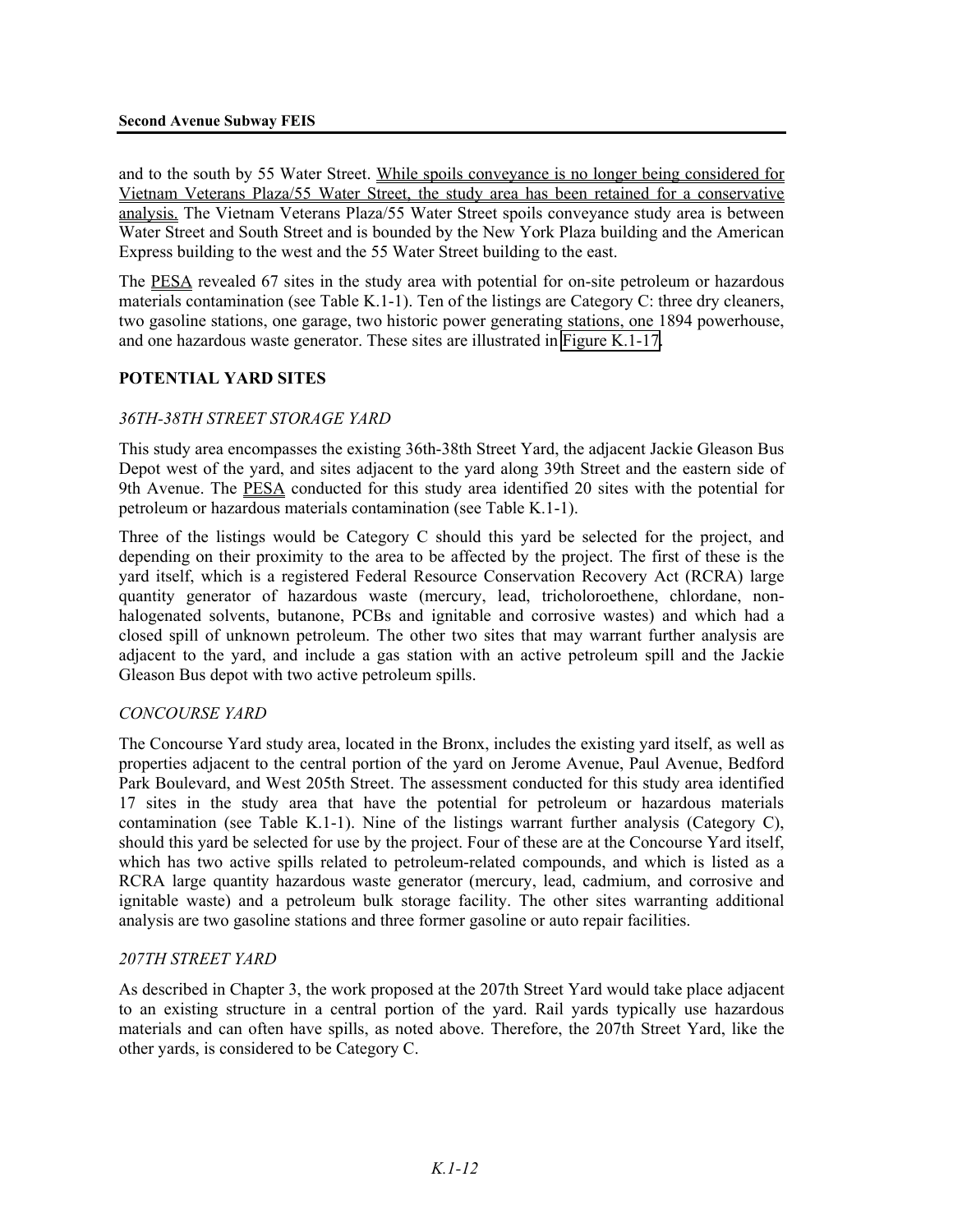and to the south by 55 Water Street. While spoils conveyance is no longer being considered for Vietnam Veterans Plaza/55 Water Street, the study area has been retained for a conservative analysis. The Vietnam Veterans Plaza/55 Water Street spoils conveyance study area is between Water Street and South Street and is bounded by the New York Plaza building and the American Express building to the west and the 55 Water Street building to the east.

The PESA revealed 67 sites in the study area with potential for on-site petroleum or hazardous materials contamination (see Table K.1-1). Ten of the listings are Category C: three dry cleaners, two gasoline stations, one garage, two historic power generating stations, one 1894 powerhouse, and one hazardous waste generator. These sites are illustrated in Figure K.1-17.

#### **POTENTIAL YARD SITES**

## *36TH-38TH STREET STORAGE YARD*

This study area encompasses the existing 36th-38th Street Yard, the adjacent Jackie Gleason Bus Depot west of the yard, and sites adjacent to the yard along 39th Street and the eastern side of 9th Avenue. The PESA conducted for this study area identified 20 sites with the potential for petroleum or hazardous materials contamination (see Table K.1-1).

Three of the listings would be Category C should this yard be selected for the project, and depending on their proximity to the area to be affected by the project. The first of these is the yard itself, which is a registered Federal Resource Conservation Recovery Act (RCRA) large quantity generator of hazardous waste (mercury, lead, tricholoroethene, chlordane, nonhalogenated solvents, butanone, PCBs and ignitable and corrosive wastes) and which had a closed spill of unknown petroleum. The other two sites that may warrant further analysis are adjacent to the yard, and include a gas station with an active petroleum spill and the Jackie Gleason Bus depot with two active petroleum spills.

#### *CONCOURSE YARD*

The Concourse Yard study area, located in the Bronx, includes the existing yard itself, as well as properties adjacent to the central portion of the yard on Jerome Avenue, Paul Avenue, Bedford Park Boulevard, and West 205th Street. The assessment conducted for this study area identified 17 sites in the study area that have the potential for petroleum or hazardous materials contamination (see Table K.1-1). Nine of the listings warrant further analysis (Category C), should this yard be selected for use by the project. Four of these are at the Concourse Yard itself, which has two active spills related to petroleum-related compounds, and which is listed as a RCRA large quantity hazardous waste generator (mercury, lead, cadmium, and corrosive and ignitable waste) and a petroleum bulk storage facility. The other sites warranting additional analysis are two gasoline stations and three former gasoline or auto repair facilities.

#### *207TH STREET YARD*

As described in Chapter 3, the work proposed at the 207th Street Yard would take place adjacent to an existing structure in a central portion of the yard. Rail yards typically use hazardous materials and can often have spills, as noted above. Therefore, the 207th Street Yard, like the other yards, is considered to be Category C.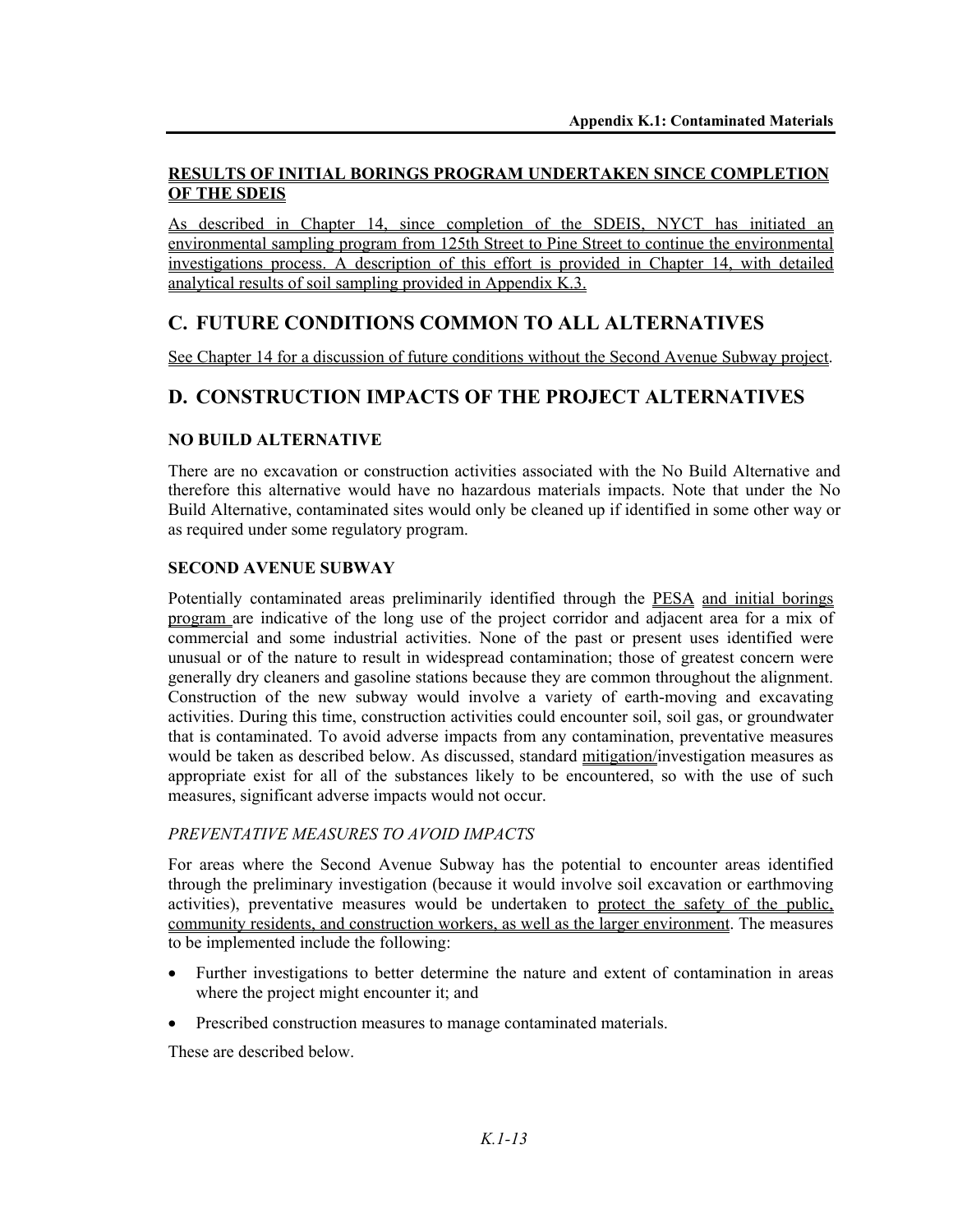## **RESULTS OF INITIAL BORINGS PROGRAM UNDERTAKEN SINCE COMPLETION OF THE SDEIS**

As described in Chapter 14, since completion of the SDEIS, NYCT has initiated an environmental sampling program from 125th Street to Pine Street to continue the environmental investigations process. A description of this effort is provided in Chapter 14, with detailed analytical results of soil sampling provided in Appendix K.3.

# **C. FUTURE CONDITIONS COMMON TO ALL ALTERNATIVES**

See Chapter 14 for a discussion of future conditions without the Second Avenue Subway project.

# **D. CONSTRUCTION IMPACTS OF THE PROJECT ALTERNATIVES**

# **NO BUILD ALTERNATIVE**

There are no excavation or construction activities associated with the No Build Alternative and therefore this alternative would have no hazardous materials impacts. Note that under the No Build Alternative, contaminated sites would only be cleaned up if identified in some other way or as required under some regulatory program.

## **SECOND AVENUE SUBWAY**

Potentially contaminated areas preliminarily identified through the PESA and initial borings program are indicative of the long use of the project corridor and adjacent area for a mix of commercial and some industrial activities. None of the past or present uses identified were unusual or of the nature to result in widespread contamination; those of greatest concern were generally dry cleaners and gasoline stations because they are common throughout the alignment. Construction of the new subway would involve a variety of earth-moving and excavating activities. During this time, construction activities could encounter soil, soil gas, or groundwater that is contaminated. To avoid adverse impacts from any contamination, preventative measures would be taken as described below. As discussed, standard mitigation/investigation measures as appropriate exist for all of the substances likely to be encountered, so with the use of such measures, significant adverse impacts would not occur.

# *PREVENTATIVE MEASURES TO AVOID IMPACTS*

For areas where the Second Avenue Subway has the potential to encounter areas identified through the preliminary investigation (because it would involve soil excavation or earthmoving activities), preventative measures would be undertaken to protect the safety of the public, community residents, and construction workers, as well as the larger environment. The measures to be implemented include the following:

- Further investigations to better determine the nature and extent of contamination in areas where the project might encounter it; and
- Prescribed construction measures to manage contaminated materials.

These are described below.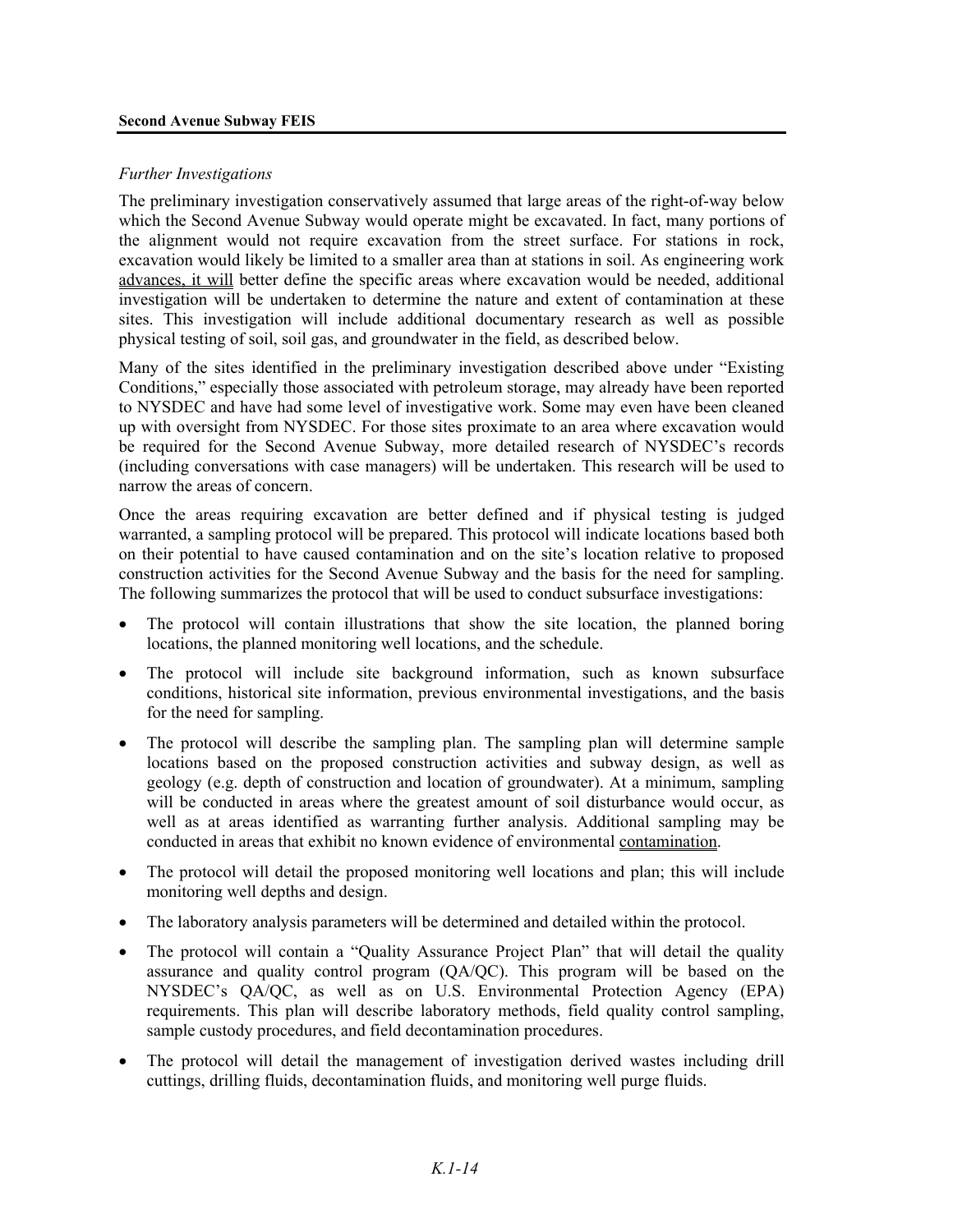#### **Second Avenue Subway FEIS**

#### *Further Investigations*

The preliminary investigation conservatively assumed that large areas of the right-of-way below which the Second Avenue Subway would operate might be excavated. In fact, many portions of the alignment would not require excavation from the street surface. For stations in rock, excavation would likely be limited to a smaller area than at stations in soil. As engineering work advances, it will better define the specific areas where excavation would be needed, additional investigation will be undertaken to determine the nature and extent of contamination at these sites. This investigation will include additional documentary research as well as possible physical testing of soil, soil gas, and groundwater in the field, as described below.

Many of the sites identified in the preliminary investigation described above under "Existing Conditions," especially those associated with petroleum storage, may already have been reported to NYSDEC and have had some level of investigative work. Some may even have been cleaned up with oversight from NYSDEC. For those sites proximate to an area where excavation would be required for the Second Avenue Subway, more detailed research of NYSDEC's records (including conversations with case managers) will be undertaken. This research will be used to narrow the areas of concern.

Once the areas requiring excavation are better defined and if physical testing is judged warranted, a sampling protocol will be prepared. This protocol will indicate locations based both on their potential to have caused contamination and on the site's location relative to proposed construction activities for the Second Avenue Subway and the basis for the need for sampling. The following summarizes the protocol that will be used to conduct subsurface investigations:

- The protocol will contain illustrations that show the site location, the planned boring locations, the planned monitoring well locations, and the schedule.
- The protocol will include site background information, such as known subsurface conditions, historical site information, previous environmental investigations, and the basis for the need for sampling.
- The protocol will describe the sampling plan. The sampling plan will determine sample locations based on the proposed construction activities and subway design, as well as geology (e.g. depth of construction and location of groundwater). At a minimum, sampling will be conducted in areas where the greatest amount of soil disturbance would occur, as well as at areas identified as warranting further analysis. Additional sampling may be conducted in areas that exhibit no known evidence of environmental contamination.
- The protocol will detail the proposed monitoring well locations and plan; this will include monitoring well depths and design.
- The laboratory analysis parameters will be determined and detailed within the protocol.
- The protocol will contain a "Quality Assurance Project Plan" that will detail the quality assurance and quality control program (QA/QC). This program will be based on the NYSDEC's QA/QC, as well as on U.S. Environmental Protection Agency (EPA) requirements. This plan will describe laboratory methods, field quality control sampling, sample custody procedures, and field decontamination procedures.
- The protocol will detail the management of investigation derived wastes including drill cuttings, drilling fluids, decontamination fluids, and monitoring well purge fluids.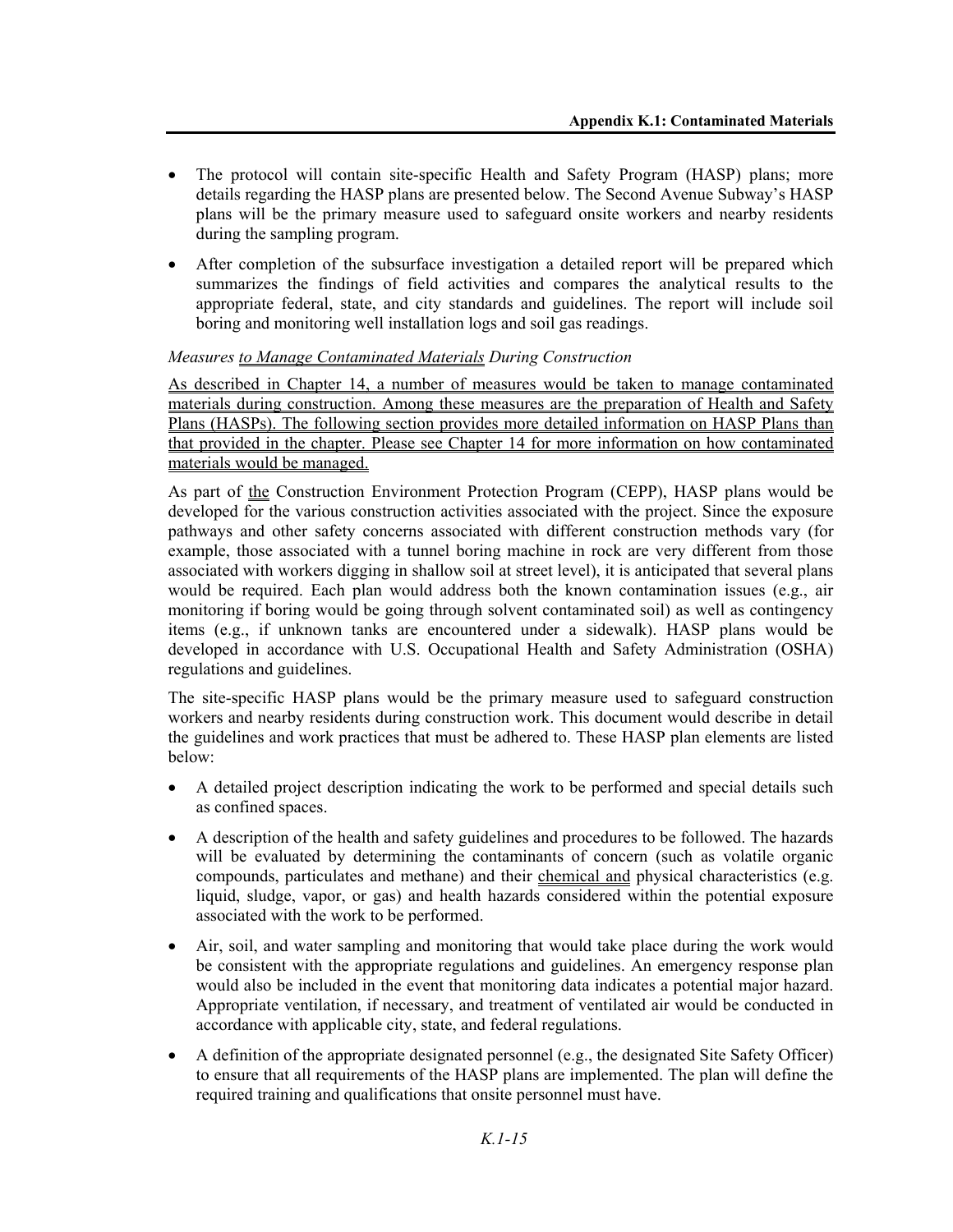- The protocol will contain site-specific Health and Safety Program (HASP) plans; more details regarding the HASP plans are presented below. The Second Avenue Subway's HASP plans will be the primary measure used to safeguard onsite workers and nearby residents during the sampling program.
- After completion of the subsurface investigation a detailed report will be prepared which summarizes the findings of field activities and compares the analytical results to the appropriate federal, state, and city standards and guidelines. The report will include soil boring and monitoring well installation logs and soil gas readings.

#### *Measures to Manage Contaminated Materials During Construction*

As described in Chapter 14, a number of measures would be taken to manage contaminated materials during construction. Among these measures are the preparation of Health and Safety Plans (HASPs). The following section provides more detailed information on HASP Plans than that provided in the chapter. Please see Chapter 14 for more information on how contaminated materials would be managed.

As part of the Construction Environment Protection Program (CEPP), HASP plans would be developed for the various construction activities associated with the project. Since the exposure pathways and other safety concerns associated with different construction methods vary (for example, those associated with a tunnel boring machine in rock are very different from those associated with workers digging in shallow soil at street level), it is anticipated that several plans would be required. Each plan would address both the known contamination issues (e.g., air monitoring if boring would be going through solvent contaminated soil) as well as contingency items (e.g., if unknown tanks are encountered under a sidewalk). HASP plans would be developed in accordance with U.S. Occupational Health and Safety Administration (OSHA) regulations and guidelines.

The site-specific HASP plans would be the primary measure used to safeguard construction workers and nearby residents during construction work. This document would describe in detail the guidelines and work practices that must be adhered to. These HASP plan elements are listed below:

- A detailed project description indicating the work to be performed and special details such as confined spaces.
- A description of the health and safety guidelines and procedures to be followed. The hazards will be evaluated by determining the contaminants of concern (such as volatile organic compounds, particulates and methane) and their chemical and physical characteristics (e.g. liquid, sludge, vapor, or gas) and health hazards considered within the potential exposure associated with the work to be performed.
- Air, soil, and water sampling and monitoring that would take place during the work would be consistent with the appropriate regulations and guidelines. An emergency response plan would also be included in the event that monitoring data indicates a potential major hazard. Appropriate ventilation, if necessary, and treatment of ventilated air would be conducted in accordance with applicable city, state, and federal regulations.
- A definition of the appropriate designated personnel (e.g., the designated Site Safety Officer) to ensure that all requirements of the HASP plans are implemented. The plan will define the required training and qualifications that onsite personnel must have.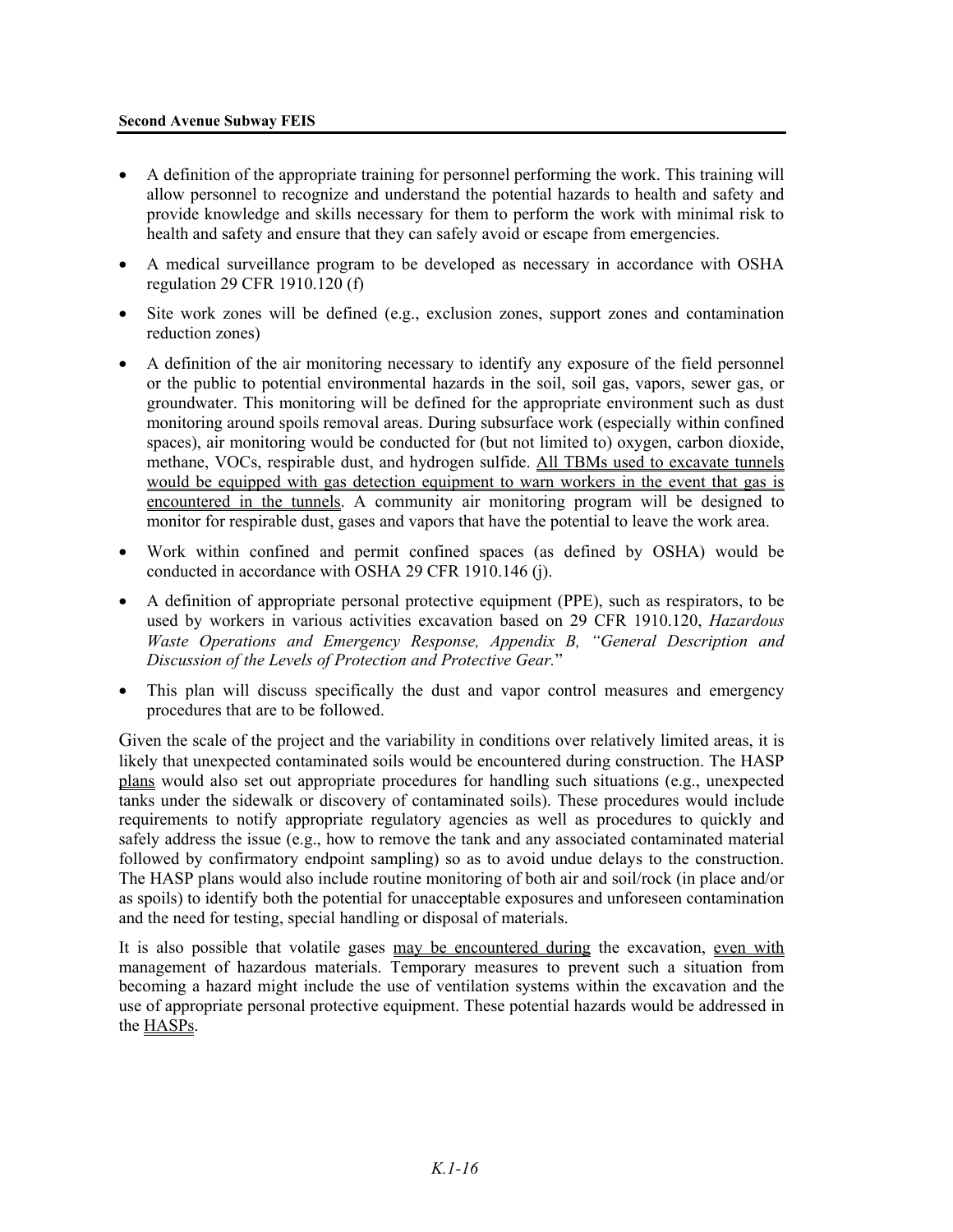#### **Second Avenue Subway FEIS**

- A definition of the appropriate training for personnel performing the work. This training will allow personnel to recognize and understand the potential hazards to health and safety and provide knowledge and skills necessary for them to perform the work with minimal risk to health and safety and ensure that they can safely avoid or escape from emergencies.
- A medical surveillance program to be developed as necessary in accordance with OSHA regulation 29 CFR 1910.120 (f)
- Site work zones will be defined (e.g., exclusion zones, support zones and contamination reduction zones)
- A definition of the air monitoring necessary to identify any exposure of the field personnel or the public to potential environmental hazards in the soil, soil gas, vapors, sewer gas, or groundwater. This monitoring will be defined for the appropriate environment such as dust monitoring around spoils removal areas. During subsurface work (especially within confined spaces), air monitoring would be conducted for (but not limited to) oxygen, carbon dioxide, methane, VOCs, respirable dust, and hydrogen sulfide. All TBMs used to excavate tunnels would be equipped with gas detection equipment to warn workers in the event that gas is encountered in the tunnels. A community air monitoring program will be designed to monitor for respirable dust, gases and vapors that have the potential to leave the work area.
- Work within confined and permit confined spaces (as defined by OSHA) would be conducted in accordance with OSHA 29 CFR 1910.146 (j).
- A definition of appropriate personal protective equipment (PPE), such as respirators, to be used by workers in various activities excavation based on 29 CFR 1910.120, *Hazardous Waste Operations and Emergency Response, Appendix B, "General Description and Discussion of the Levels of Protection and Protective Gear.*"
- This plan will discuss specifically the dust and vapor control measures and emergency procedures that are to be followed.

Given the scale of the project and the variability in conditions over relatively limited areas, it is likely that unexpected contaminated soils would be encountered during construction. The HASP plans would also set out appropriate procedures for handling such situations (e.g., unexpected tanks under the sidewalk or discovery of contaminated soils). These procedures would include requirements to notify appropriate regulatory agencies as well as procedures to quickly and safely address the issue (e.g., how to remove the tank and any associated contaminated material followed by confirmatory endpoint sampling) so as to avoid undue delays to the construction. The HASP plans would also include routine monitoring of both air and soil/rock (in place and/or as spoils) to identify both the potential for unacceptable exposures and unforeseen contamination and the need for testing, special handling or disposal of materials.

It is also possible that volatile gases may be encountered during the excavation, even with management of hazardous materials. Temporary measures to prevent such a situation from becoming a hazard might include the use of ventilation systems within the excavation and the use of appropriate personal protective equipment. These potential hazards would be addressed in the HASPs.